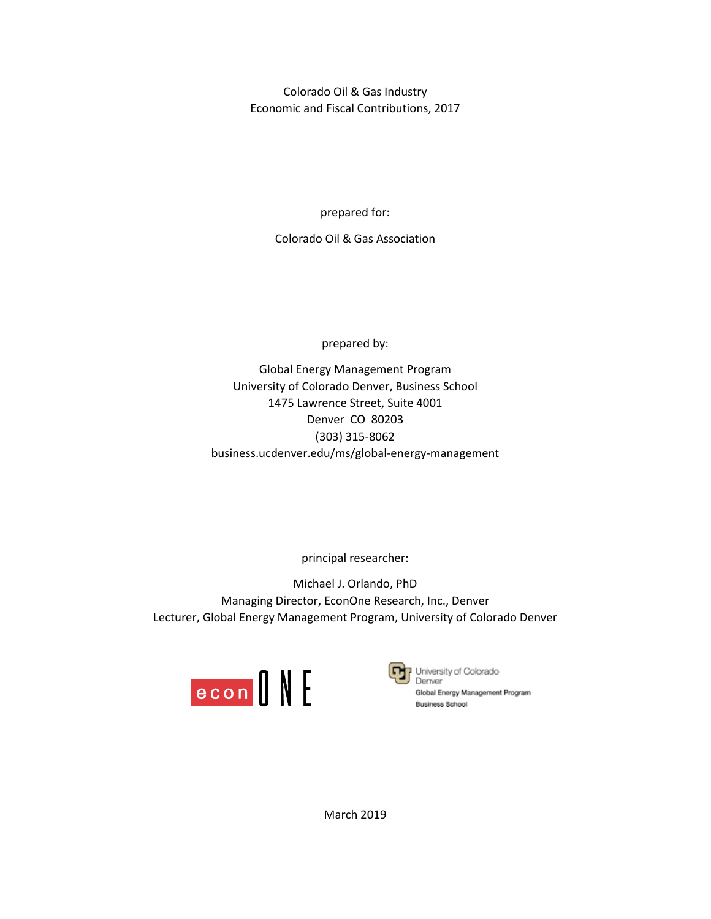Colorado Oil & Gas Industry Economic and Fiscal Contributions, 2017

prepared for:

Colorado Oil & Gas Association

prepared by:

Global Energy Management Program University of Colorado Denver, Business School 1475 Lawrence Street, Suite 4001 Denver CO 80203 (303) 315-8062 business.ucdenver.edu/ms/global-energy-management

principal researcher:

Michael J. Orlando, PhD Managing Director, EconOne Research, Inc., Denver Lecturer, Global Energy Management Program, University of Colorado Denver





University of Colorado Global Energy Management Program **Business School** 

March 2019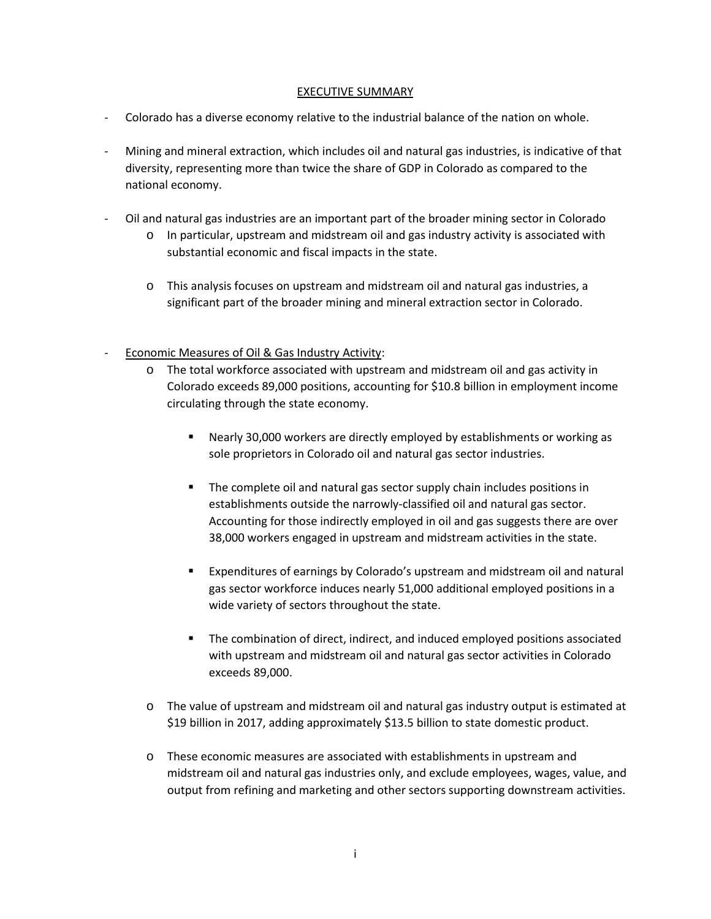## EXECUTIVE SUMMARY

- Colorado has a diverse economy relative to the industrial balance of the nation on whole.
- Mining and mineral extraction, which includes oil and natural gas industries, is indicative of that diversity, representing more than twice the share of GDP in Colorado as compared to the national economy.
- Oil and natural gas industries are an important part of the broader mining sector in Colorado
	- o In particular, upstream and midstream oil and gas industry activity is associated with substantial economic and fiscal impacts in the state.
	- o This analysis focuses on upstream and midstream oil and natural gas industries, a significant part of the broader mining and mineral extraction sector in Colorado.
- Economic Measures of Oil & Gas Industry Activity:
	- o The total workforce associated with upstream and midstream oil and gas activity in Colorado exceeds 89,000 positions, accounting for \$10.8 billion in employment income circulating through the state economy.
		- Nearly 30,000 workers are directly employed by establishments or working as sole proprietors in Colorado oil and natural gas sector industries.
		- The complete oil and natural gas sector supply chain includes positions in establishments outside the narrowly-classified oil and natural gas sector. Accounting for those indirectly employed in oil and gas suggests there are over 38,000 workers engaged in upstream and midstream activities in the state.
		- Expenditures of earnings by Colorado's upstream and midstream oil and natural gas sector workforce induces nearly 51,000 additional employed positions in a wide variety of sectors throughout the state.
		- The combination of direct, indirect, and induced employed positions associated with upstream and midstream oil and natural gas sector activities in Colorado exceeds 89,000.
	- o The value of upstream and midstream oil and natural gas industry output is estimated at \$19 billion in 2017, adding approximately \$13.5 billion to state domestic product.
	- o These economic measures are associated with establishments in upstream and midstream oil and natural gas industries only, and exclude employees, wages, value, and output from refining and marketing and other sectors supporting downstream activities.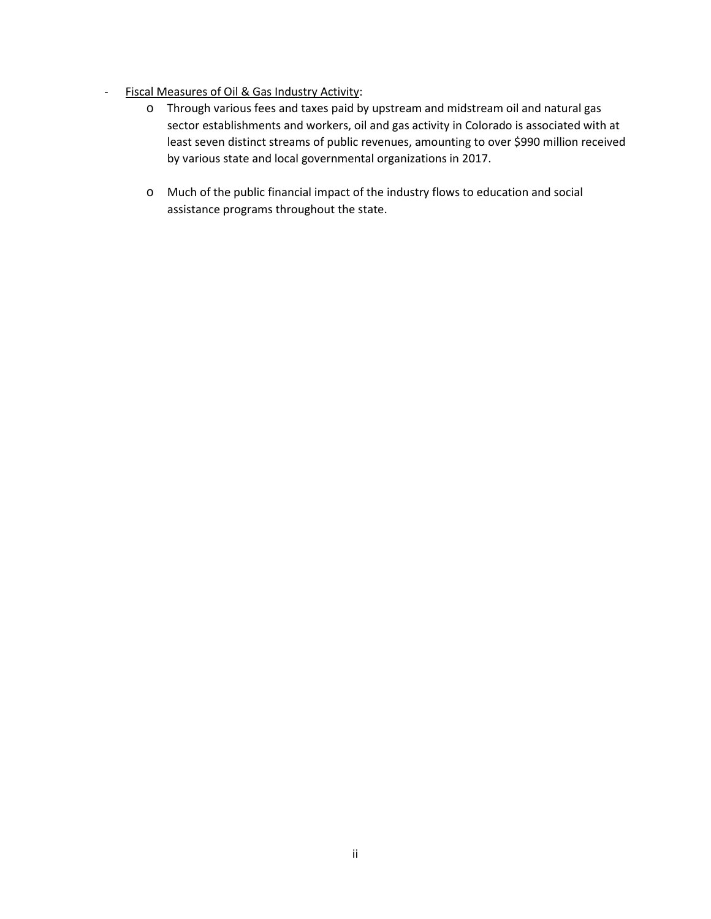- Fiscal Measures of Oil & Gas Industry Activity:
	- o Through various fees and taxes paid by upstream and midstream oil and natural gas sector establishments and workers, oil and gas activity in Colorado is associated with at least seven distinct streams of public revenues, amounting to over \$990 million received by various state and local governmental organizations in 2017.
	- o Much of the public financial impact of the industry flows to education and social assistance programs throughout the state.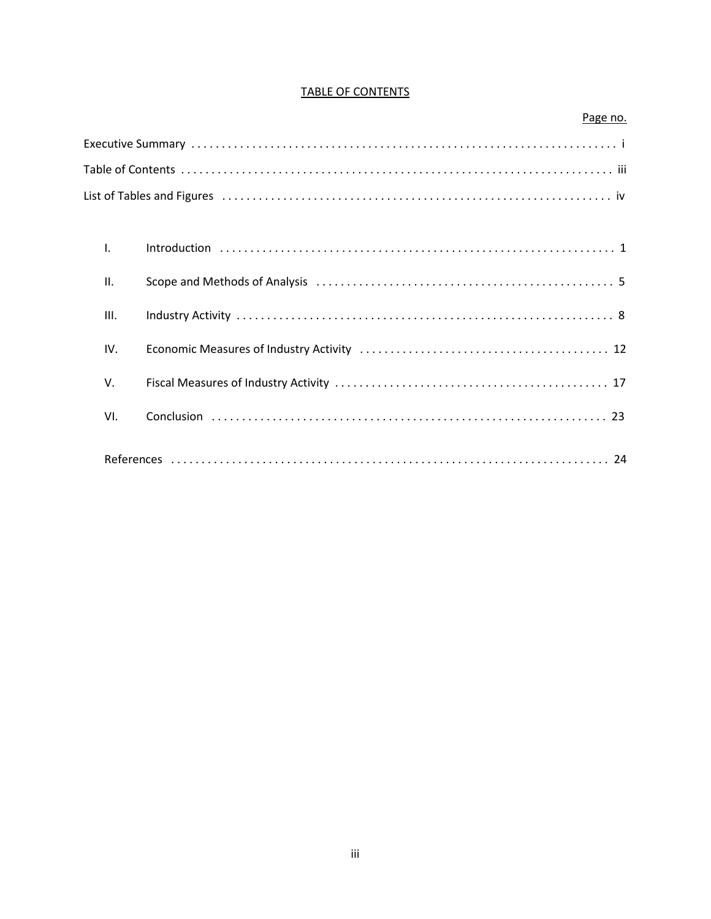# **TABLE OF CONTENTS**

| List of Tables and Figures (Allergian Allergian Allergian Allergian Allergian Allergian Allergian Allergian Al |
|----------------------------------------------------------------------------------------------------------------|
|                                                                                                                |
| $\mathsf{L}$                                                                                                   |
| Π.                                                                                                             |
| Ш.                                                                                                             |
| IV.                                                                                                            |
| V.                                                                                                             |
| VI.                                                                                                            |
|                                                                                                                |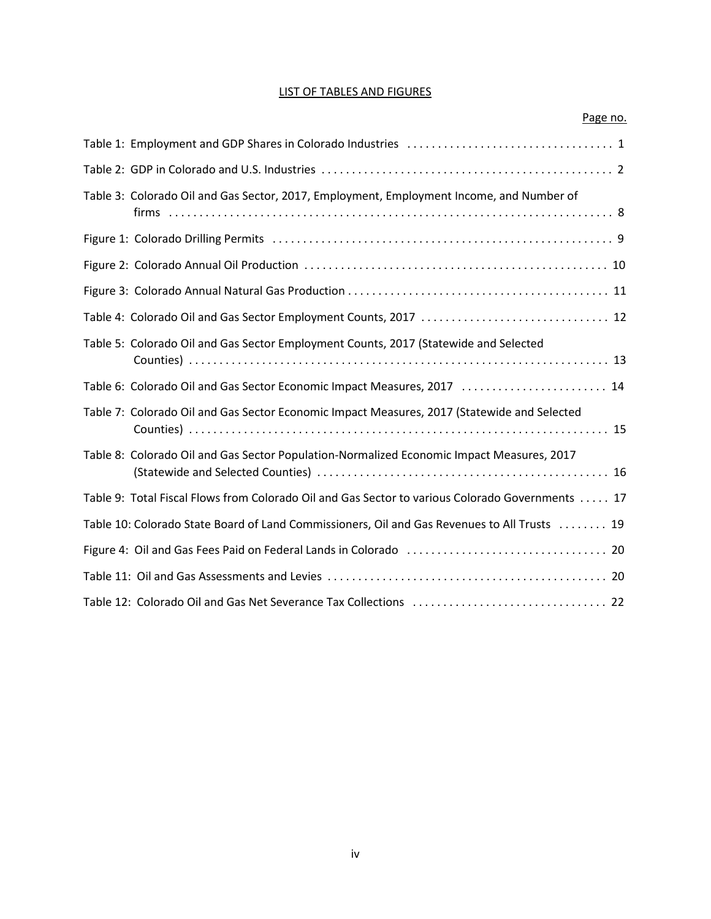# LIST OF TABLES AND FIGURES

| Page no.                                                                                         |
|--------------------------------------------------------------------------------------------------|
|                                                                                                  |
|                                                                                                  |
| Table 3: Colorado Oil and Gas Sector, 2017, Employment, Employment Income, and Number of         |
|                                                                                                  |
|                                                                                                  |
|                                                                                                  |
| Table 4: Colorado Oil and Gas Sector Employment Counts, 2017  12                                 |
| Table 5: Colorado Oil and Gas Sector Employment Counts, 2017 (Statewide and Selected             |
| Table 6: Colorado Oil and Gas Sector Economic Impact Measures, 2017  14                          |
| Table 7: Colorado Oil and Gas Sector Economic Impact Measures, 2017 (Statewide and Selected      |
| Table 8: Colorado Oil and Gas Sector Population-Normalized Economic Impact Measures, 2017        |
| Table 9: Total Fiscal Flows from Colorado Oil and Gas Sector to various Colorado Governments  17 |
| Table 10: Colorado State Board of Land Commissioners, Oil and Gas Revenues to All Trusts 19      |
|                                                                                                  |
|                                                                                                  |
|                                                                                                  |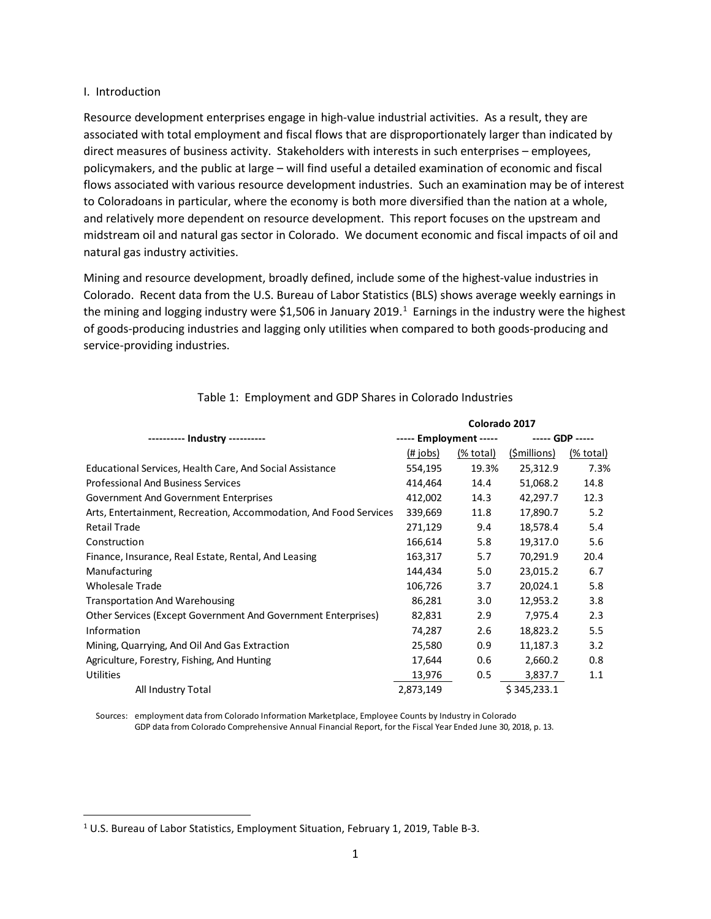#### I. Introduction

Resource development enterprises engage in high-value industrial activities. As a result, they are associated with total employment and fiscal flows that are disproportionately larger than indicated by direct measures of business activity. Stakeholders with interests in such enterprises – employees, policymakers, and the public at large – will find useful a detailed examination of economic and fiscal flows associated with various resource development industries. Such an examination may be of interest to Coloradoans in particular, where the economy is both more diversified than the nation at a whole, and relatively more dependent on resource development. This report focuses on the upstream and midstream oil and natural gas sector in Colorado. We document economic and fiscal impacts of oil and natural gas industry activities.

Mining and resource development, broadly defined, include some of the highest-value industries in Colorado. Recent data from the U.S. Bureau of Labor Statistics (BLS) shows average weekly earnings in the mining and logging industry were \$[1](#page-5-0),506 in January 2019.<sup>1</sup> Earnings in the industry were the highest of goods-producing industries and lagging only utilities when compared to both goods-producing and service-providing industries.

|                                                                      | Colorado 2017          |           |              |                 |  |
|----------------------------------------------------------------------|------------------------|-----------|--------------|-----------------|--|
| ---------- Industry ----------                                       | ----- Employment ----- |           |              | ----- GDP ----- |  |
|                                                                      | $(\# \; \text{jobs})$  | (% total) | (\$millions) | (% total)       |  |
| Educational Services, Health Care, And Social Assistance             | 554,195                | 19.3%     | 25,312.9     | 7.3%            |  |
| <b>Professional And Business Services</b>                            | 414,464                | 14.4      | 51,068.2     | 14.8            |  |
| <b>Government And Government Enterprises</b>                         | 412,002                | 14.3      | 42,297.7     | 12.3            |  |
| Arts, Entertainment, Recreation, Accommodation, And Food Services    | 339,669                | 11.8      | 17,890.7     | 5.2             |  |
| <b>Retail Trade</b>                                                  | 271,129                | 9.4       | 18,578.4     | 5.4             |  |
| Construction                                                         | 166,614                | 5.8       | 19,317.0     | 5.6             |  |
| Finance, Insurance, Real Estate, Rental, And Leasing                 | 163,317                | 5.7       | 70,291.9     | 20.4            |  |
| Manufacturing                                                        | 144,434                | 5.0       | 23,015.2     | 6.7             |  |
| <b>Wholesale Trade</b>                                               | 106,726                | 3.7       | 20,024.1     | 5.8             |  |
| <b>Transportation And Warehousing</b>                                | 86,281                 | 3.0       | 12,953.2     | 3.8             |  |
| <b>Other Services (Except Government And Government Enterprises)</b> | 82,831                 | 2.9       | 7,975.4      | 2.3             |  |
| Information                                                          | 74,287                 | 2.6       | 18,823.2     | 5.5             |  |
| Mining, Quarrying, And Oil And Gas Extraction                        | 25,580                 | 0.9       | 11,187.3     | 3.2             |  |
| Agriculture, Forestry, Fishing, And Hunting                          | 17,644                 | 0.6       | 2,660.2      | 0.8             |  |
| <b>Utilities</b>                                                     | 13,976                 | 0.5       | 3,837.7      | 1.1             |  |
| All Industry Total                                                   | 2,873,149              |           | \$345,233.1  |                 |  |

# Table 1: Employment and GDP Shares in Colorado Industries

Sources: employment data from Colorado Information Marketplace, Employee Counts by Industry in Colorado GDP data from Colorado Comprehensive Annual Financial Report, for the Fiscal Year Ended June 30, 2018, p. 13.

<span id="page-5-0"></span> <sup>1</sup> U.S. Bureau of Labor Statistics, Employment Situation, February 1, 2019, Table B-3.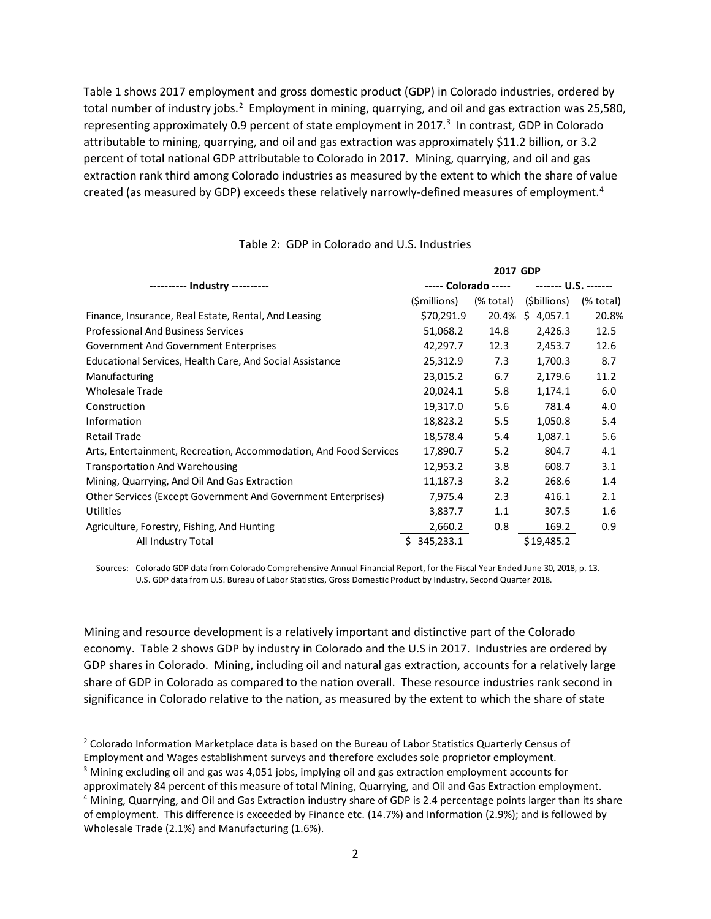Table 1 shows 2017 employment and gross domestic product (GDP) in Colorado industries, ordered by total number of industry jobs.<sup>[2](#page-6-0)</sup> Employment in mining, quarrying, and oil and gas extraction was 25,580, representing approximately 0.9 percent of state employment in 2017.<sup>[3](#page-6-1)</sup> In contrast, GDP in Colorado attributable to mining, quarrying, and oil and gas extraction was approximately \$11.2 billion, or 3.2 percent of total national GDP attributable to Colorado in 2017. Mining, quarrying, and oil and gas extraction rank third among Colorado industries as measured by the extent to which the share of value created (as measured by GDP) exceeds these relatively narrowly-defined measures of employment.<sup>[4](#page-6-2)</sup>

|                                                                   | 2017 GDP             |           |                      |           |  |
|-------------------------------------------------------------------|----------------------|-----------|----------------------|-----------|--|
|                                                                   | ----- Colorado ----- |           | ------- U.S. ------- |           |  |
|                                                                   | (\$millions)         | (% total) | (\$billions)         | (% total) |  |
| Finance, Insurance, Real Estate, Rental, And Leasing              | \$70,291.9           | 20.4%     | Ŝ.<br>4,057.1        | 20.8%     |  |
| <b>Professional And Business Services</b>                         | 51,068.2             | 14.8      | 2,426.3              | 12.5      |  |
| <b>Government And Government Enterprises</b>                      | 42,297.7             | 12.3      | 2,453.7              | 12.6      |  |
| Educational Services, Health Care, And Social Assistance          | 25,312.9             | 7.3       | 1,700.3              | 8.7       |  |
| Manufacturing                                                     | 23,015.2             | 6.7       | 2,179.6              | 11.2      |  |
| <b>Wholesale Trade</b>                                            | 20,024.1             | 5.8       | 1,174.1              | 6.0       |  |
| Construction                                                      | 19,317.0             | 5.6       | 781.4                | 4.0       |  |
| Information                                                       | 18,823.2             | 5.5       | 1,050.8              | 5.4       |  |
| <b>Retail Trade</b>                                               | 18,578.4             | 5.4       | 1,087.1              | 5.6       |  |
| Arts, Entertainment, Recreation, Accommodation, And Food Services | 17,890.7             | 5.2       | 804.7                | 4.1       |  |
| <b>Transportation And Warehousing</b>                             | 12,953.2             | 3.8       | 608.7                | 3.1       |  |
| Mining, Quarrying, And Oil And Gas Extraction                     | 11,187.3             | 3.2       | 268.6                | 1.4       |  |
| Other Services (Except Government And Government Enterprises)     | 7,975.4              | 2.3       | 416.1                | 2.1       |  |
| <b>Utilities</b>                                                  | 3,837.7              | 1.1       | 307.5                | 1.6       |  |
| Agriculture, Forestry, Fishing, And Hunting                       | 2,660.2              | 0.8       | 169.2                | 0.9       |  |
| All Industry Total                                                | 345,233.1            |           | \$19,485.2           |           |  |

#### Table 2: GDP in Colorado and U.S. Industries

Sources: Colorado GDP data from Colorado Comprehensive Annual Financial Report, for the Fiscal Year Ended June 30, 2018, p. 13. U.S. GDP data from U.S. Bureau of Labor Statistics, Gross Domestic Product by Industry, Second Quarter 2018.

Mining and resource development is a relatively important and distinctive part of the Colorado economy. Table 2 shows GDP by industry in Colorado and the U.S in 2017. Industries are ordered by GDP shares in Colorado. Mining, including oil and natural gas extraction, accounts for a relatively large share of GDP in Colorado as compared to the nation overall. These resource industries rank second in significance in Colorado relative to the nation, as measured by the extent to which the share of state

<span id="page-6-0"></span><sup>&</sup>lt;sup>2</sup> Colorado Information Marketplace data is based on the Bureau of Labor Statistics Quarterly Census of Employment and Wages establishment surveys and therefore excludes sole proprietor employment.

<span id="page-6-1"></span><sup>&</sup>lt;sup>3</sup> Mining excluding oil and gas was 4,051 jobs, implying oil and gas extraction employment accounts for

<span id="page-6-2"></span>approximately 84 percent of this measure of total Mining, Quarrying, and Oil and Gas Extraction employment. <sup>4</sup> Mining, Quarrying, and Oil and Gas Extraction industry share of GDP is 2.4 percentage points larger than its share of employment. This difference is exceeded by Finance etc. (14.7%) and Information (2.9%); and is followed by Wholesale Trade (2.1%) and Manufacturing (1.6%).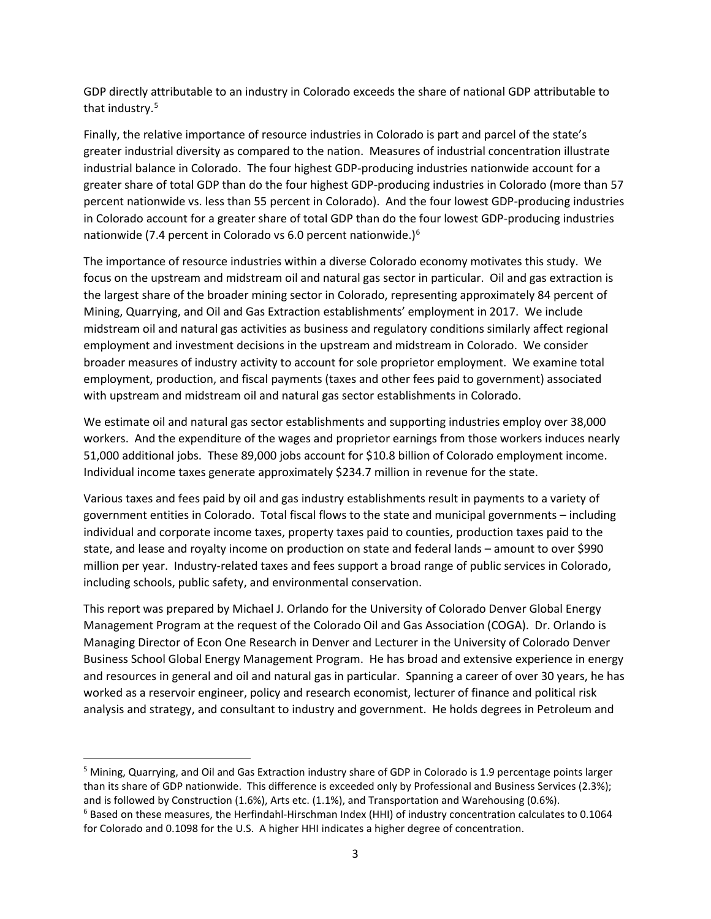GDP directly attributable to an industry in Colorado exceeds the share of national GDP attributable to that industry.<sup>[5](#page-7-0)</sup>

Finally, the relative importance of resource industries in Colorado is part and parcel of the state's greater industrial diversity as compared to the nation. Measures of industrial concentration illustrate industrial balance in Colorado. The four highest GDP-producing industries nationwide account for a greater share of total GDP than do the four highest GDP-producing industries in Colorado (more than 57 percent nationwide vs. less than 55 percent in Colorado). And the four lowest GDP-producing industries in Colorado account for a greater share of total GDP than do the four lowest GDP-producing industries nationwide (7.4 percent in Colorado vs 6.0 percent nationwide.)[6](#page-7-1)

The importance of resource industries within a diverse Colorado economy motivates this study. We focus on the upstream and midstream oil and natural gas sector in particular. Oil and gas extraction is the largest share of the broader mining sector in Colorado, representing approximately 84 percent of Mining, Quarrying, and Oil and Gas Extraction establishments' employment in 2017. We include midstream oil and natural gas activities as business and regulatory conditions similarly affect regional employment and investment decisions in the upstream and midstream in Colorado. We consider broader measures of industry activity to account for sole proprietor employment. We examine total employment, production, and fiscal payments (taxes and other fees paid to government) associated with upstream and midstream oil and natural gas sector establishments in Colorado.

We estimate oil and natural gas sector establishments and supporting industries employ over 38,000 workers. And the expenditure of the wages and proprietor earnings from those workers induces nearly 51,000 additional jobs. These 89,000 jobs account for \$10.8 billion of Colorado employment income. Individual income taxes generate approximately \$234.7 million in revenue for the state.

Various taxes and fees paid by oil and gas industry establishments result in payments to a variety of government entities in Colorado. Total fiscal flows to the state and municipal governments – including individual and corporate income taxes, property taxes paid to counties, production taxes paid to the state, and lease and royalty income on production on state and federal lands – amount to over \$990 million per year. Industry-related taxes and fees support a broad range of public services in Colorado, including schools, public safety, and environmental conservation.

This report was prepared by Michael J. Orlando for the University of Colorado Denver Global Energy Management Program at the request of the Colorado Oil and Gas Association (COGA). Dr. Orlando is Managing Director of Econ One Research in Denver and Lecturer in the University of Colorado Denver Business School Global Energy Management Program. He has broad and extensive experience in energy and resources in general and oil and natural gas in particular. Spanning a career of over 30 years, he has worked as a reservoir engineer, policy and research economist, lecturer of finance and political risk analysis and strategy, and consultant to industry and government. He holds degrees in Petroleum and

<span id="page-7-1"></span><span id="page-7-0"></span><sup>&</sup>lt;sup>5</sup> Mining, Quarrying, and Oil and Gas Extraction industry share of GDP in Colorado is 1.9 percentage points larger than its share of GDP nationwide. This difference is exceeded only by Professional and Business Services (2.3%); and is followed by Construction (1.6%), Arts etc. (1.1%), and Transportation and Warehousing (0.6%). <sup>6</sup> Based on these measures, the Herfindahl-Hirschman Index (HHI) of industry concentration calculates to 0.1064 for Colorado and 0.1098 for the U.S. A higher HHI indicates a higher degree of concentration.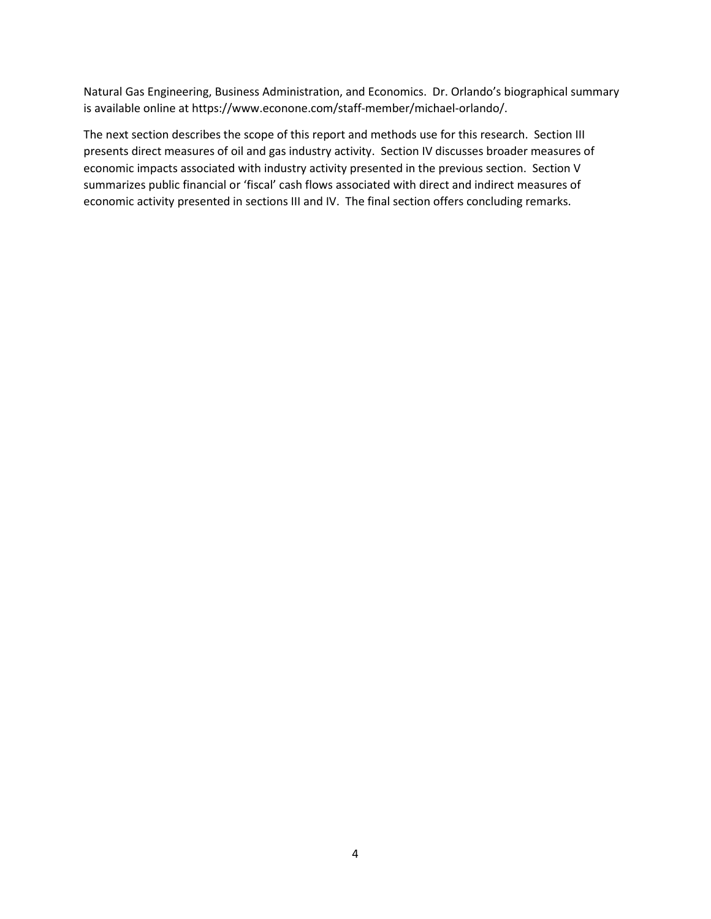Natural Gas Engineering, Business Administration, and Economics. Dr. Orlando's biographical summary is available online at https://www.econone.com/staff-member/michael-orlando/.

The next section describes the scope of this report and methods use for this research. Section III presents direct measures of oil and gas industry activity. Section IV discusses broader measures of economic impacts associated with industry activity presented in the previous section. Section V summarizes public financial or 'fiscal' cash flows associated with direct and indirect measures of economic activity presented in sections III and IV. The final section offers concluding remarks.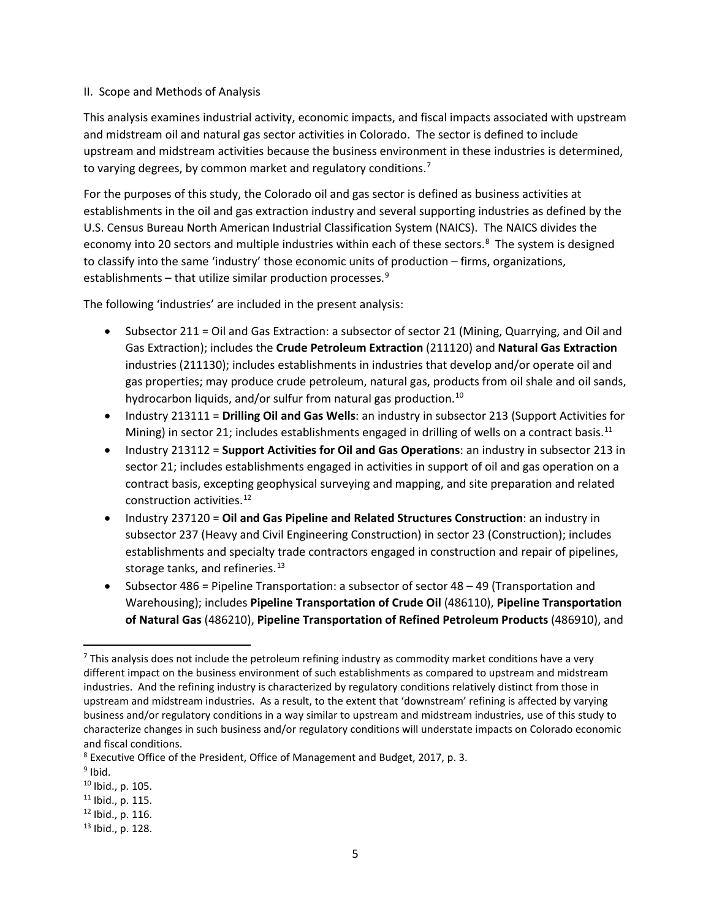### II. Scope and Methods of Analysis

This analysis examines industrial activity, economic impacts, and fiscal impacts associated with upstream and midstream oil and natural gas sector activities in Colorado. The sector is defined to include upstream and midstream activities because the business environment in these industries is determined, to varying degrees, by common market and regulatory conditions.<sup>[7](#page-9-0)</sup>

For the purposes of this study, the Colorado oil and gas sector is defined as business activities at establishments in the oil and gas extraction industry and several supporting industries as defined by the U.S. Census Bureau North American Industrial Classification System (NAICS). The NAICS divides the economy into 20 sectors and multiple industries within each of these sectors.<sup>[8](#page-9-1)</sup> The system is designed to classify into the same 'industry' those economic units of production – firms, organizations, establishments – that utilize similar production processes. $9$ 

The following 'industries' are included in the present analysis:

- Subsector 211 = Oil and Gas Extraction: a subsector of sector 21 (Mining, Quarrying, and Oil and Gas Extraction); includes the **Crude Petroleum Extraction** (211120) and **Natural Gas Extraction** industries (211130); includes establishments in industries that develop and/or operate oil and gas properties; may produce crude petroleum, natural gas, products from oil shale and oil sands, hydrocarbon liquids, and/or sulfur from natural gas production.<sup>[10](#page-9-3)</sup>
- Industry 213111 = **Drilling Oil and Gas Wells**: an industry in subsector 213 (Support Activities for Mining) in sector 21; includes establishments engaged in drilling of wells on a contract basis.<sup>[11](#page-9-4)</sup>
- Industry 213112 = **Support Activities for Oil and Gas Operations**: an industry in subsector 213 in sector 21; includes establishments engaged in activities in support of oil and gas operation on a contract basis, excepting geophysical surveying and mapping, and site preparation and related construction activities.[12](#page-9-5)
- Industry 237120 = **Oil and Gas Pipeline and Related Structures Construction**: an industry in subsector 237 (Heavy and Civil Engineering Construction) in sector 23 (Construction); includes establishments and specialty trade contractors engaged in construction and repair of pipelines, storage tanks, and refineries.<sup>[13](#page-9-6)</sup>
- Subsector 486 = Pipeline Transportation: a subsector of sector 48 49 (Transportation and Warehousing); includes **Pipeline Transportation of Crude Oil** (486110), **Pipeline Transportation of Natural Gas** (486210), **Pipeline Transportation of Refined Petroleum Products** (486910), and

<span id="page-9-4"></span> $11$  Ibid., p. 115.

<span id="page-9-0"></span> $7$  This analysis does not include the petroleum refining industry as commodity market conditions have a very different impact on the business environment of such establishments as compared to upstream and midstream industries. And the refining industry is characterized by regulatory conditions relatively distinct from those in upstream and midstream industries. As a result, to the extent that 'downstream' refining is affected by varying business and/or regulatory conditions in a way similar to upstream and midstream industries, use of this study to characterize changes in such business and/or regulatory conditions will understate impacts on Colorado economic and fiscal conditions.

<span id="page-9-1"></span><sup>8</sup> Executive Office of the President, Office of Management and Budget, 2017, p. 3.

<span id="page-9-2"></span> $9$  Ibid.

<span id="page-9-3"></span><sup>10</sup> Ibid., p. 105.

<span id="page-9-5"></span><sup>12</sup> Ibid., p. 116.

<span id="page-9-6"></span><sup>13</sup> Ibid., p. 128.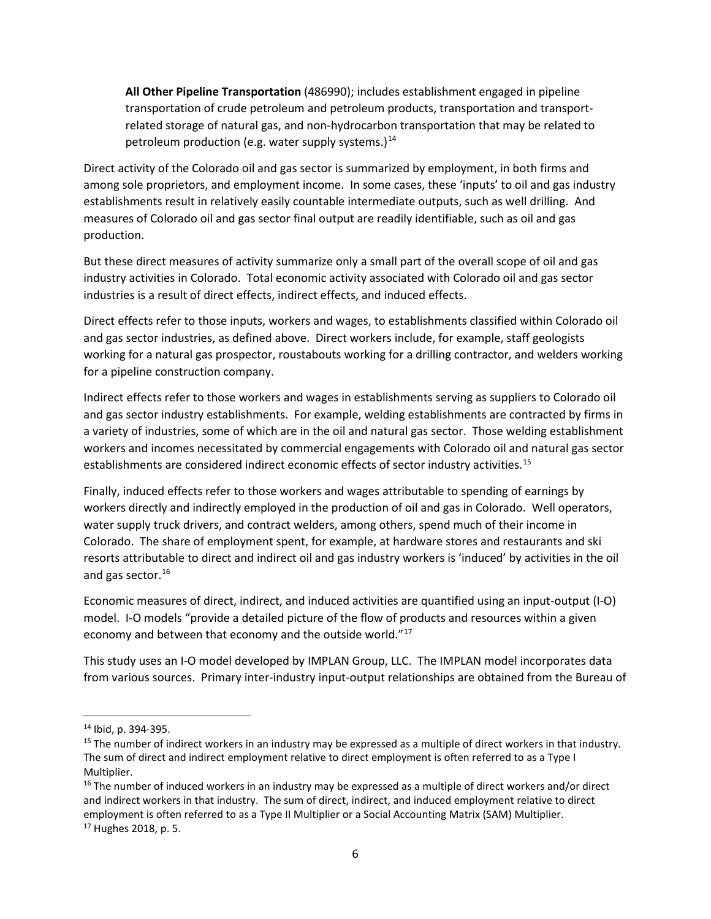**All Other Pipeline Transportation** (486990); includes establishment engaged in pipeline transportation of crude petroleum and petroleum products, transportation and transportrelated storage of natural gas, and non-hydrocarbon transportation that may be related to petroleum production (e.g. water supply systems.) $<sup>14</sup>$  $<sup>14</sup>$  $<sup>14</sup>$ </sup>

Direct activity of the Colorado oil and gas sector is summarized by employment, in both firms and among sole proprietors, and employment income. In some cases, these 'inputs' to oil and gas industry establishments result in relatively easily countable intermediate outputs, such as well drilling. And measures of Colorado oil and gas sector final output are readily identifiable, such as oil and gas production.

But these direct measures of activity summarize only a small part of the overall scope of oil and gas industry activities in Colorado. Total economic activity associated with Colorado oil and gas sector industries is a result of direct effects, indirect effects, and induced effects.

Direct effects refer to those inputs, workers and wages, to establishments classified within Colorado oil and gas sector industries, as defined above. Direct workers include, for example, staff geologists working for a natural gas prospector, roustabouts working for a drilling contractor, and welders working for a pipeline construction company.

Indirect effects refer to those workers and wages in establishments serving as suppliers to Colorado oil and gas sector industry establishments. For example, welding establishments are contracted by firms in a variety of industries, some of which are in the oil and natural gas sector. Those welding establishment workers and incomes necessitated by commercial engagements with Colorado oil and natural gas sector establishments are considered indirect economic effects of sector industry activities.<sup>[15](#page-10-1)</sup>

Finally, induced effects refer to those workers and wages attributable to spending of earnings by workers directly and indirectly employed in the production of oil and gas in Colorado. Well operators, water supply truck drivers, and contract welders, among others, spend much of their income in Colorado. The share of employment spent, for example, at hardware stores and restaurants and ski resorts attributable to direct and indirect oil and gas industry workers is 'induced' by activities in the oil and gas sector. [16](#page-10-2)

Economic measures of direct, indirect, and induced activities are quantified using an input-output (I-O) model. I-O models "provide a detailed picture of the flow of products and resources within a given economy and between that economy and the outside world."[17](#page-10-3)

This study uses an I-O model developed by IMPLAN Group, LLC. The IMPLAN model incorporates data from various sources. Primary inter-industry input-output relationships are obtained from the Bureau of

<span id="page-10-0"></span> <sup>14</sup> Ibid, p. 394-395.

<span id="page-10-1"></span> $15$  The number of indirect workers in an industry may be expressed as a multiple of direct workers in that industry. The sum of direct and indirect employment relative to direct employment is often referred to as a Type I Multiplier.

<span id="page-10-3"></span><span id="page-10-2"></span> $16$  The number of induced workers in an industry may be expressed as a multiple of direct workers and/or direct and indirect workers in that industry. The sum of direct, indirect, and induced employment relative to direct employment is often referred to as a Type II Multiplier or a Social Accounting Matrix (SAM) Multiplier. <sup>17</sup> Hughes 2018, p. 5.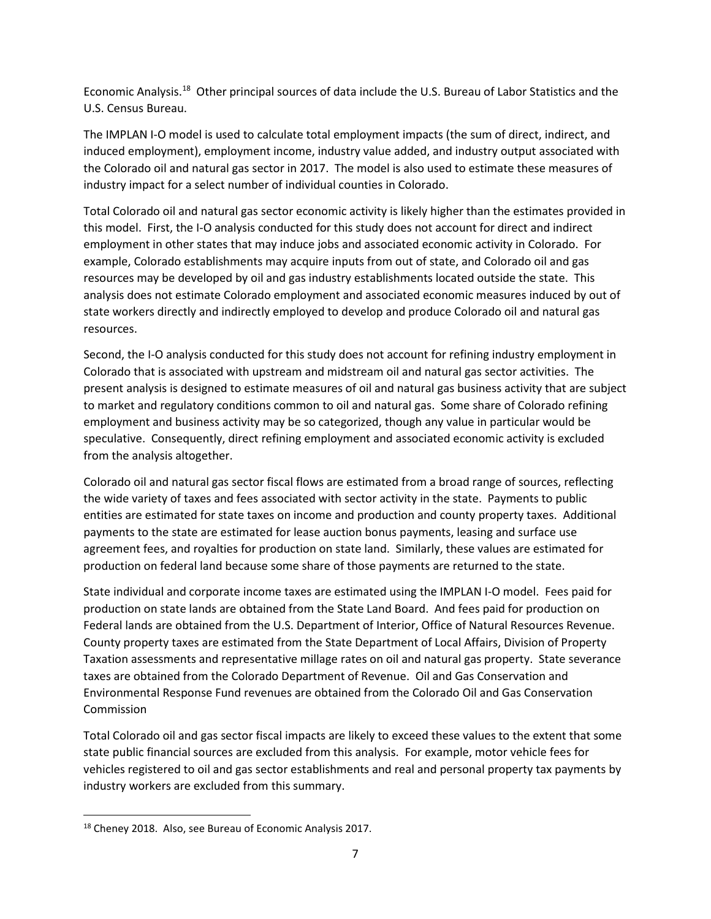Economic Analysis.[18](#page-11-0) Other principal sources of data include the U.S. Bureau of Labor Statistics and the U.S. Census Bureau.

The IMPLAN I-O model is used to calculate total employment impacts (the sum of direct, indirect, and induced employment), employment income, industry value added, and industry output associated with the Colorado oil and natural gas sector in 2017. The model is also used to estimate these measures of industry impact for a select number of individual counties in Colorado.

Total Colorado oil and natural gas sector economic activity is likely higher than the estimates provided in this model. First, the I-O analysis conducted for this study does not account for direct and indirect employment in other states that may induce jobs and associated economic activity in Colorado. For example, Colorado establishments may acquire inputs from out of state, and Colorado oil and gas resources may be developed by oil and gas industry establishments located outside the state. This analysis does not estimate Colorado employment and associated economic measures induced by out of state workers directly and indirectly employed to develop and produce Colorado oil and natural gas resources.

Second, the I-O analysis conducted for this study does not account for refining industry employment in Colorado that is associated with upstream and midstream oil and natural gas sector activities. The present analysis is designed to estimate measures of oil and natural gas business activity that are subject to market and regulatory conditions common to oil and natural gas. Some share of Colorado refining employment and business activity may be so categorized, though any value in particular would be speculative. Consequently, direct refining employment and associated economic activity is excluded from the analysis altogether.

Colorado oil and natural gas sector fiscal flows are estimated from a broad range of sources, reflecting the wide variety of taxes and fees associated with sector activity in the state. Payments to public entities are estimated for state taxes on income and production and county property taxes. Additional payments to the state are estimated for lease auction bonus payments, leasing and surface use agreement fees, and royalties for production on state land. Similarly, these values are estimated for production on federal land because some share of those payments are returned to the state.

State individual and corporate income taxes are estimated using the IMPLAN I-O model. Fees paid for production on state lands are obtained from the State Land Board. And fees paid for production on Federal lands are obtained from the U.S. Department of Interior, Office of Natural Resources Revenue. County property taxes are estimated from the State Department of Local Affairs, Division of Property Taxation assessments and representative millage rates on oil and natural gas property. State severance taxes are obtained from the Colorado Department of Revenue. Oil and Gas Conservation and Environmental Response Fund revenues are obtained from the Colorado Oil and Gas Conservation Commission

Total Colorado oil and gas sector fiscal impacts are likely to exceed these values to the extent that some state public financial sources are excluded from this analysis. For example, motor vehicle fees for vehicles registered to oil and gas sector establishments and real and personal property tax payments by industry workers are excluded from this summary.

<span id="page-11-0"></span><sup>&</sup>lt;sup>18</sup> Cheney 2018. Also, see Bureau of Economic Analysis 2017.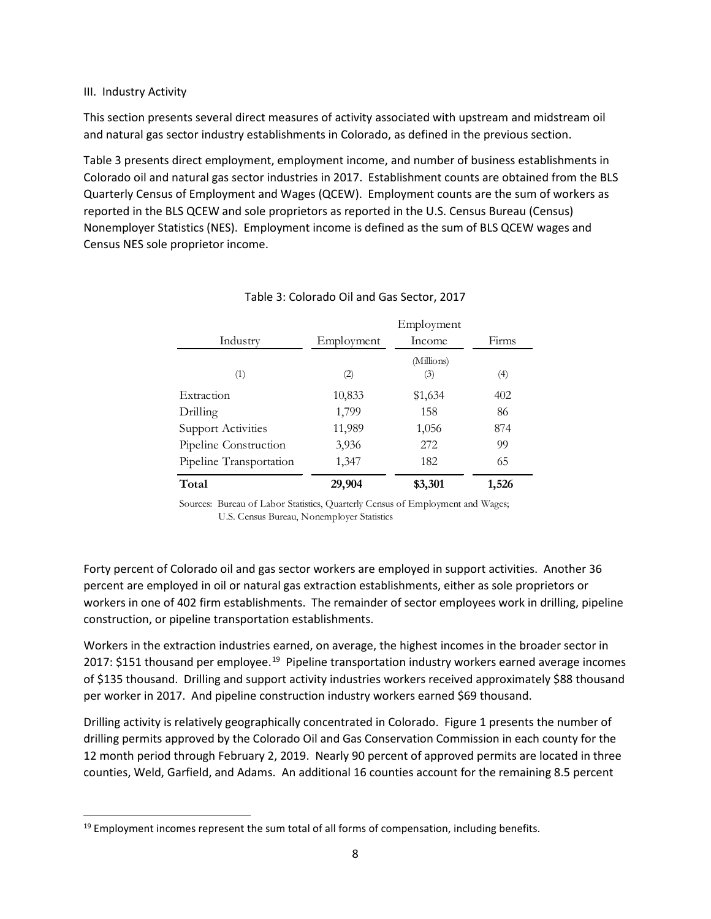## III. Industry Activity

This section presents several direct measures of activity associated with upstream and midstream oil and natural gas sector industry establishments in Colorado, as defined in the previous section.

Table 3 presents direct employment, employment income, and number of business establishments in Colorado oil and natural gas sector industries in 2017. Establishment counts are obtained from the BLS Quarterly Census of Employment and Wages (QCEW). Employment counts are the sum of workers as reported in the BLS QCEW and sole proprietors as reported in the U.S. Census Bureau (Census) Nonemployer Statistics (NES). Employment income is defined as the sum of BLS QCEW wages and Census NES sole proprietor income.

|                           |            | Employment        |       |
|---------------------------|------------|-------------------|-------|
| Industry                  | Employment | Income            | Firms |
| (1)                       | (2)        | (Millions)<br>(3) | (4)   |
| Extraction                | 10,833     | \$1,634           | 402   |
| Drilling                  | 1,799      | 158               | 86    |
| <b>Support Activities</b> | 11,989     | 1,056             | 874   |
| Pipeline Construction     | 3,936      | 272               | 99    |
| Pipeline Transportation   | 1,347      | 182               | 65    |
| Total                     | 29,904     | \$3,301           | 1,526 |

# Table 3: Colorado Oil and Gas Sector, 2017

Sources: Bureau of Labor Statistics, Quarterly Census of Employment and Wages; U.S. Census Bureau, Nonemployer Statistics

Forty percent of Colorado oil and gas sector workers are employed in support activities. Another 36 percent are employed in oil or natural gas extraction establishments, either as sole proprietors or workers in one of 402 firm establishments. The remainder of sector employees work in drilling, pipeline construction, or pipeline transportation establishments.

Workers in the extraction industries earned, on average, the highest incomes in the broader sector in 2017: \$151 thousand per employee.<sup>[19](#page-12-0)</sup> Pipeline transportation industry workers earned average incomes of \$135 thousand. Drilling and support activity industries workers received approximately \$88 thousand per worker in 2017. And pipeline construction industry workers earned \$69 thousand.

Drilling activity is relatively geographically concentrated in Colorado. Figure 1 presents the number of drilling permits approved by the Colorado Oil and Gas Conservation Commission in each county for the 12 month period through February 2, 2019. Nearly 90 percent of approved permits are located in three counties, Weld, Garfield, and Adams. An additional 16 counties account for the remaining 8.5 percent

<span id="page-12-0"></span> $<sup>19</sup>$  Employment incomes represent the sum total of all forms of compensation, including benefits.</sup>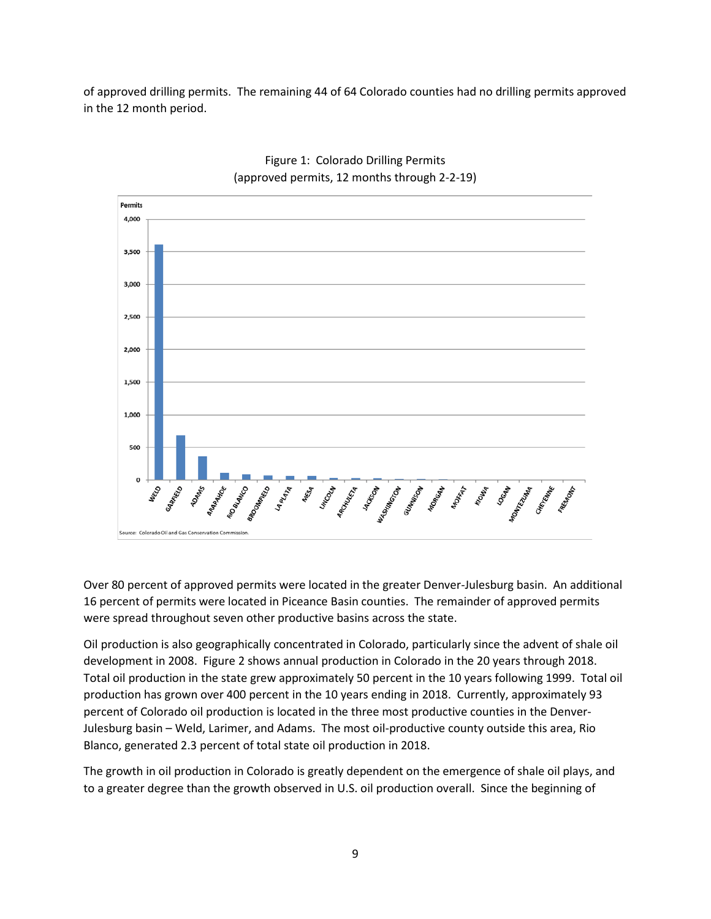of approved drilling permits. The remaining 44 of 64 Colorado counties had no drilling permits approved in the 12 month period.



# Figure 1: Colorado Drilling Permits (approved permits, 12 months through 2-2-19)

Over 80 percent of approved permits were located in the greater Denver-Julesburg basin. An additional 16 percent of permits were located in Piceance Basin counties. The remainder of approved permits were spread throughout seven other productive basins across the state.

Oil production is also geographically concentrated in Colorado, particularly since the advent of shale oil development in 2008. Figure 2 shows annual production in Colorado in the 20 years through 2018. Total oil production in the state grew approximately 50 percent in the 10 years following 1999. Total oil production has grown over 400 percent in the 10 years ending in 2018. Currently, approximately 93 percent of Colorado oil production is located in the three most productive counties in the Denver-Julesburg basin – Weld, Larimer, and Adams. The most oil-productive county outside this area, Rio Blanco, generated 2.3 percent of total state oil production in 2018.

The growth in oil production in Colorado is greatly dependent on the emergence of shale oil plays, and to a greater degree than the growth observed in U.S. oil production overall. Since the beginning of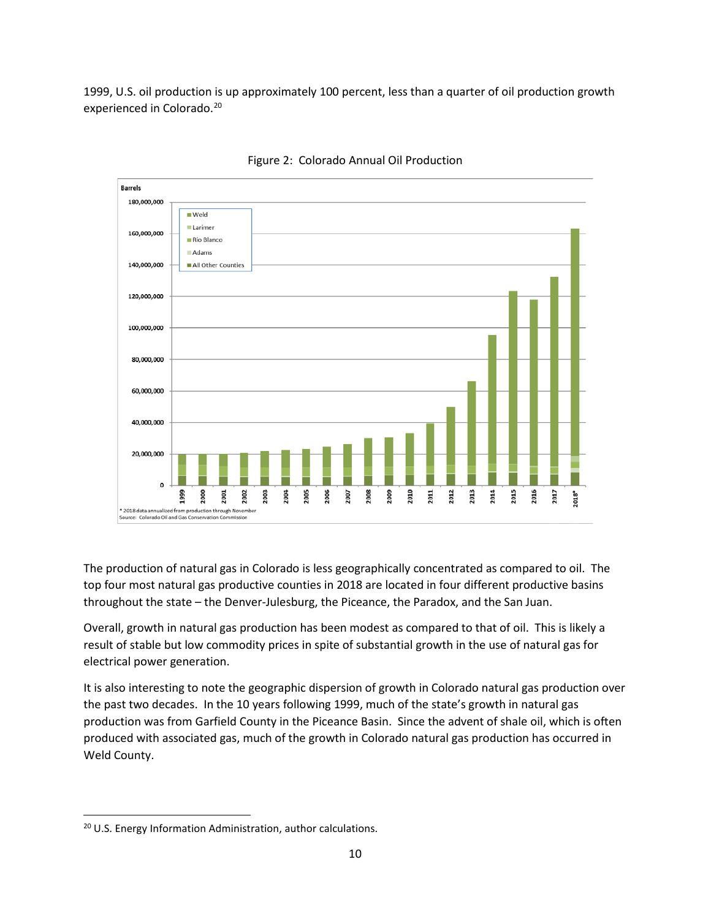1999, U.S. oil production is up approximately 100 percent, less than a quarter of oil production growth experienced in Colorado.<sup>[20](#page-14-0)</sup>



Figure 2: Colorado Annual Oil Production

The production of natural gas in Colorado is less geographically concentrated as compared to oil. The top four most natural gas productive counties in 2018 are located in four different productive basins throughout the state – the Denver-Julesburg, the Piceance, the Paradox, and the San Juan.

Overall, growth in natural gas production has been modest as compared to that of oil. This is likely a result of stable but low commodity prices in spite of substantial growth in the use of natural gas for electrical power generation.

It is also interesting to note the geographic dispersion of growth in Colorado natural gas production over the past two decades. In the 10 years following 1999, much of the state's growth in natural gas production was from Garfield County in the Piceance Basin. Since the advent of shale oil, which is often produced with associated gas, much of the growth in Colorado natural gas production has occurred in Weld County.

<span id="page-14-0"></span><sup>&</sup>lt;sup>20</sup> U.S. Energy Information Administration, author calculations.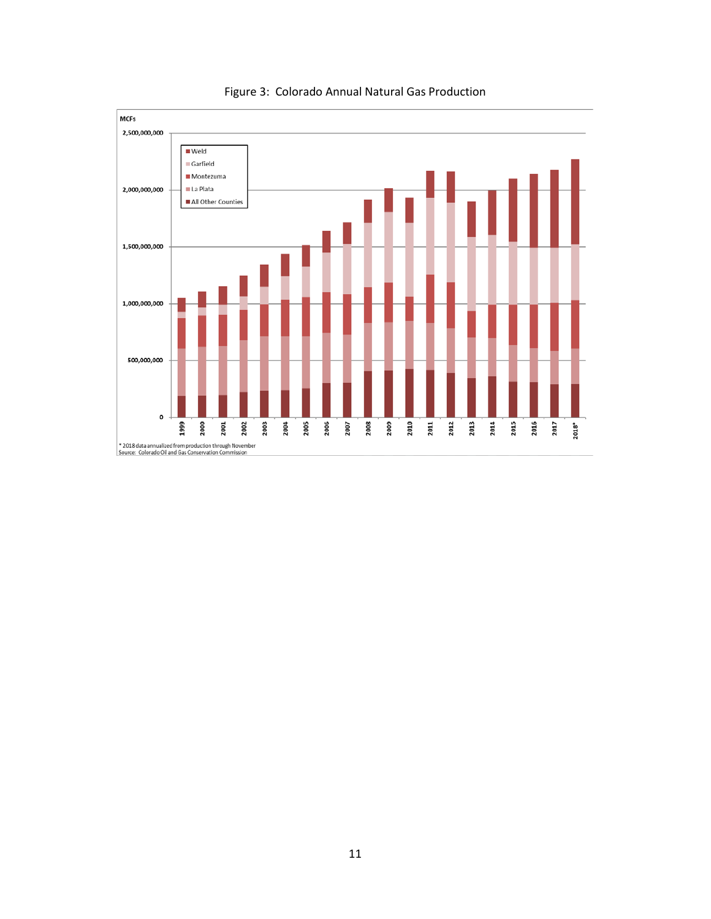

Figure 3: Colorado Annual Natural Gas Production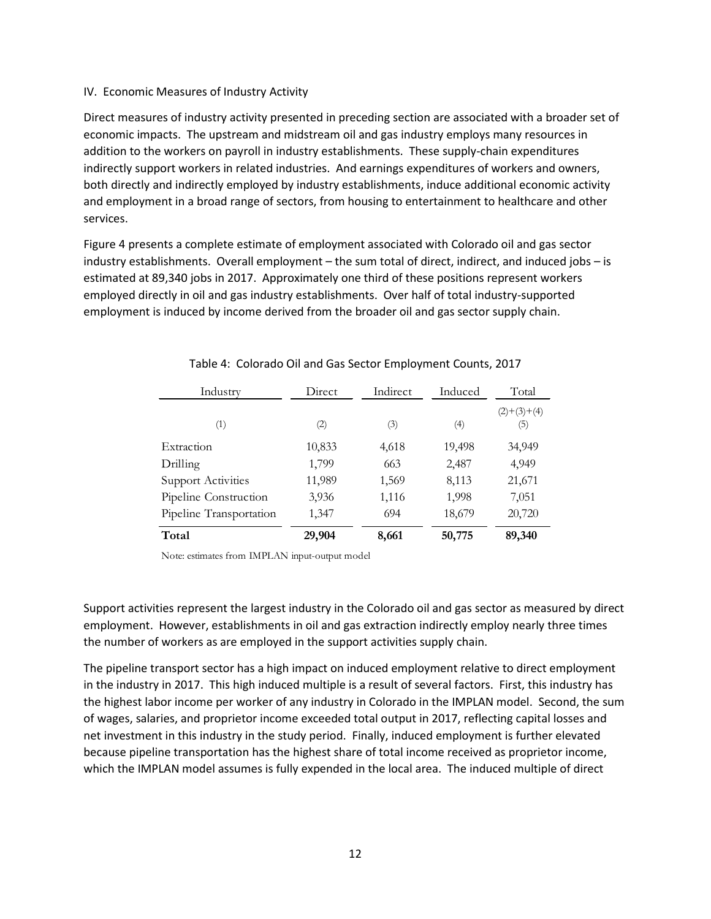## IV. Economic Measures of Industry Activity

Direct measures of industry activity presented in preceding section are associated with a broader set of economic impacts. The upstream and midstream oil and gas industry employs many resources in addition to the workers on payroll in industry establishments. These supply-chain expenditures indirectly support workers in related industries. And earnings expenditures of workers and owners, both directly and indirectly employed by industry establishments, induce additional economic activity and employment in a broad range of sectors, from housing to entertainment to healthcare and other services.

Figure 4 presents a complete estimate of employment associated with Colorado oil and gas sector industry establishments. Overall employment – the sum total of direct, indirect, and induced jobs – is estimated at 89,340 jobs in 2017. Approximately one third of these positions represent workers employed directly in oil and gas industry establishments. Over half of total industry-supported employment is induced by income derived from the broader oil and gas sector supply chain.

| Industry                  | Direct<br>Indirect |       | Induced | Total                |  |
|---------------------------|--------------------|-------|---------|----------------------|--|
| (1)                       | (2)                | (3)   | (4)     | $(2)+(3)+(4)$<br>(5) |  |
| Extraction                | 10,833             | 4,618 | 19,498  | 34,949               |  |
| Drilling                  | 1,799              | 663   | 2,487   | 4,949                |  |
| <b>Support Activities</b> | 11,989             | 1,569 | 8,113   | 21,671               |  |
| Pipeline Construction     | 3,936              | 1,116 | 1,998   | 7,051                |  |
| Pipeline Transportation   | 1,347              | 694   | 18,679  | 20,720               |  |
| Total                     | 29,904             | 8,661 | 50,775  | 89,340               |  |

# Table 4: Colorado Oil and Gas Sector Employment Counts, 2017

Note: estimates from IMPLAN input-output model

Support activities represent the largest industry in the Colorado oil and gas sector as measured by direct employment. However, establishments in oil and gas extraction indirectly employ nearly three times the number of workers as are employed in the support activities supply chain.

The pipeline transport sector has a high impact on induced employment relative to direct employment in the industry in 2017. This high induced multiple is a result of several factors. First, this industry has the highest labor income per worker of any industry in Colorado in the IMPLAN model. Second, the sum of wages, salaries, and proprietor income exceeded total output in 2017, reflecting capital losses and net investment in this industry in the study period. Finally, induced employment is further elevated because pipeline transportation has the highest share of total income received as proprietor income, which the IMPLAN model assumes is fully expended in the local area. The induced multiple of direct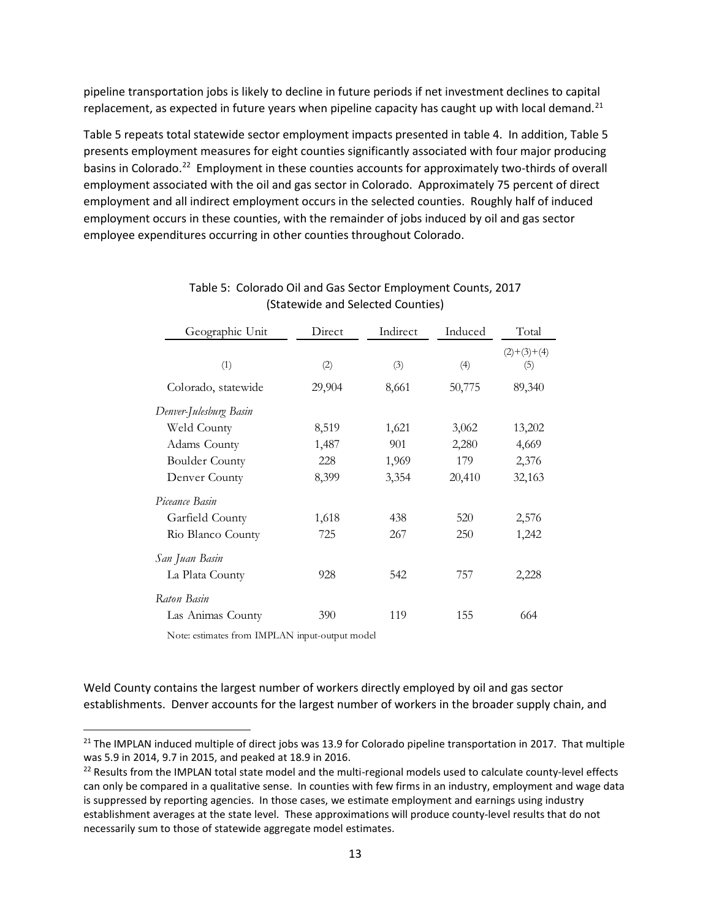pipeline transportation jobs is likely to decline in future periods if net investment declines to capital replacement, as expected in future years when pipeline capacity has caught up with local demand.<sup>[21](#page-17-0)</sup>

Table 5 repeats total statewide sector employment impacts presented in table 4. In addition, Table 5 presents employment measures for eight counties significantly associated with four major producing basins in Colorado.<sup>[22](#page-17-1)</sup> Employment in these counties accounts for approximately two-thirds of overall employment associated with the oil and gas sector in Colorado. Approximately 75 percent of direct employment and all indirect employment occurs in the selected counties. Roughly half of induced employment occurs in these counties, with the remainder of jobs induced by oil and gas sector employee expenditures occurring in other counties throughout Colorado.

| Geographic Unit        | Direct | Indirect | Induced | Total                |
|------------------------|--------|----------|---------|----------------------|
| (1)                    | (2)    | (3)      | (4)     | $(2)+(3)+(4)$<br>(5) |
| Colorado, statewide    | 29,904 | 8,661    | 50,775  | 89,340               |
| Denver-Julesburg Basin |        |          |         |                      |
| Weld County            | 8,519  | 1,621    | 3,062   | 13,202               |
| Adams County           | 1,487  | 901      | 2,280   | 4,669                |
| <b>Boulder County</b>  | 228    | 1,969    | 179     | 2,376                |
| Denver County          | 8,399  | 3,354    | 20,410  | 32,163               |
| Piceance Basin         |        |          |         |                      |
| Garfield County        | 1,618  | 438      | 520     | 2,576                |
| Rio Blanco County      | 725    | 267      | 250     | 1,242                |
| San Juan Basin         |        |          |         |                      |
| La Plata County        | 928    | 542      | 757     | 2,228                |
| Raton Basin            |        |          |         |                      |
| Las Animas County      | 390    | 119      | 155     | 664                  |

# Table 5: Colorado Oil and Gas Sector Employment Counts, 2017 (Statewide and Selected Counties)

Note: estimates from IMPLAN input-output model

Weld County contains the largest number of workers directly employed by oil and gas sector establishments. Denver accounts for the largest number of workers in the broader supply chain, and

<span id="page-17-0"></span> $21$  The IMPLAN induced multiple of direct jobs was 13.9 for Colorado pipeline transportation in 2017. That multiple was 5.9 in 2014, 9.7 in 2015, and peaked at 18.9 in 2016.

<span id="page-17-1"></span><sup>&</sup>lt;sup>22</sup> Results from the IMPLAN total state model and the multi-regional models used to calculate county-level effects can only be compared in a qualitative sense. In counties with few firms in an industry, employment and wage data is suppressed by reporting agencies. In those cases, we estimate employment and earnings using industry establishment averages at the state level. These approximations will produce county-level results that do not necessarily sum to those of statewide aggregate model estimates.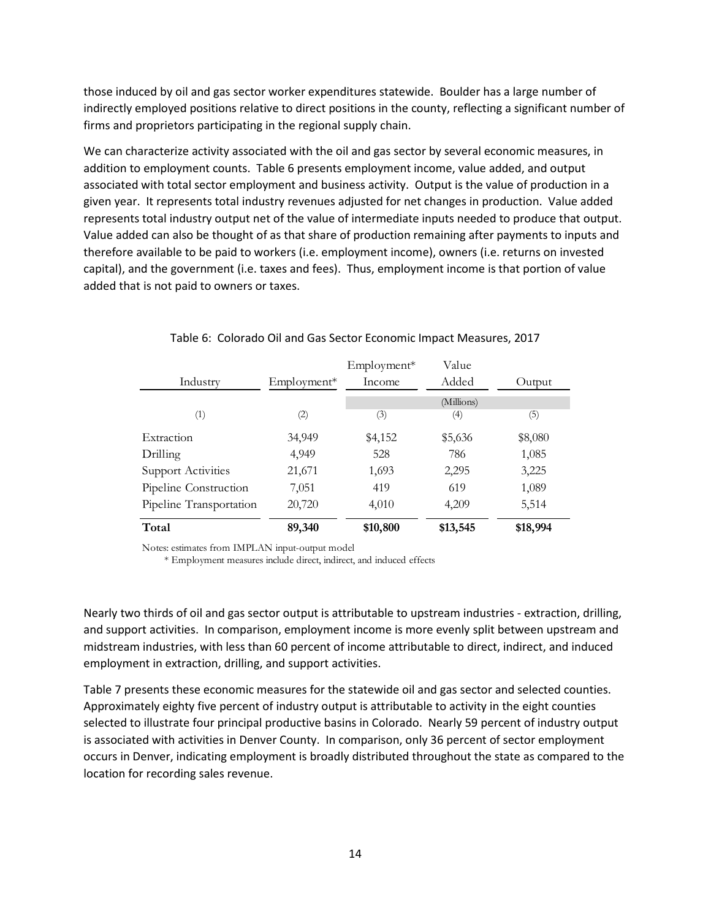those induced by oil and gas sector worker expenditures statewide. Boulder has a large number of indirectly employed positions relative to direct positions in the county, reflecting a significant number of firms and proprietors participating in the regional supply chain.

We can characterize activity associated with the oil and gas sector by several economic measures, in addition to employment counts. Table 6 presents employment income, value added, and output associated with total sector employment and business activity. Output is the value of production in a given year. It represents total industry revenues adjusted for net changes in production. Value added represents total industry output net of the value of intermediate inputs needed to produce that output. Value added can also be thought of as that share of production remaining after payments to inputs and therefore available to be paid to workers (i.e. employment income), owners (i.e. returns on invested capital), and the government (i.e. taxes and fees). Thus, employment income is that portion of value added that is not paid to owners or taxes.

|                           |               | Employment* | Value      |          |
|---------------------------|---------------|-------------|------------|----------|
| Industry                  | $Employment*$ | Income      | Added      | Output   |
|                           |               |             | (Millions) |          |
| $\left( 1\right)$         | (2)           | (3)         | (4)        | (5)      |
| Extraction                | 34,949        | \$4,152     | \$5,636    | \$8,080  |
| Drilling                  | 4,949         | 528         | 786        | 1,085    |
| <b>Support Activities</b> | 21,671        | 1,693       | 2,295      | 3,225    |
| Pipeline Construction     | 7,051         | 419         | 619        | 1,089    |
| Pipeline Transportation   | 20,720        | 4,010       | 4,209      | 5,514    |
| Total                     | 89,340        | \$10,800    | \$13,545   | \$18,994 |

## Table 6: Colorado Oil and Gas Sector Economic Impact Measures, 2017

Notes: estimates from IMPLAN input-output model

\* Employment measures include direct, indirect, and induced effects

Nearly two thirds of oil and gas sector output is attributable to upstream industries - extraction, drilling, and support activities. In comparison, employment income is more evenly split between upstream and midstream industries, with less than 60 percent of income attributable to direct, indirect, and induced employment in extraction, drilling, and support activities.

Table 7 presents these economic measures for the statewide oil and gas sector and selected counties. Approximately eighty five percent of industry output is attributable to activity in the eight counties selected to illustrate four principal productive basins in Colorado. Nearly 59 percent of industry output is associated with activities in Denver County. In comparison, only 36 percent of sector employment occurs in Denver, indicating employment is broadly distributed throughout the state as compared to the location for recording sales revenue.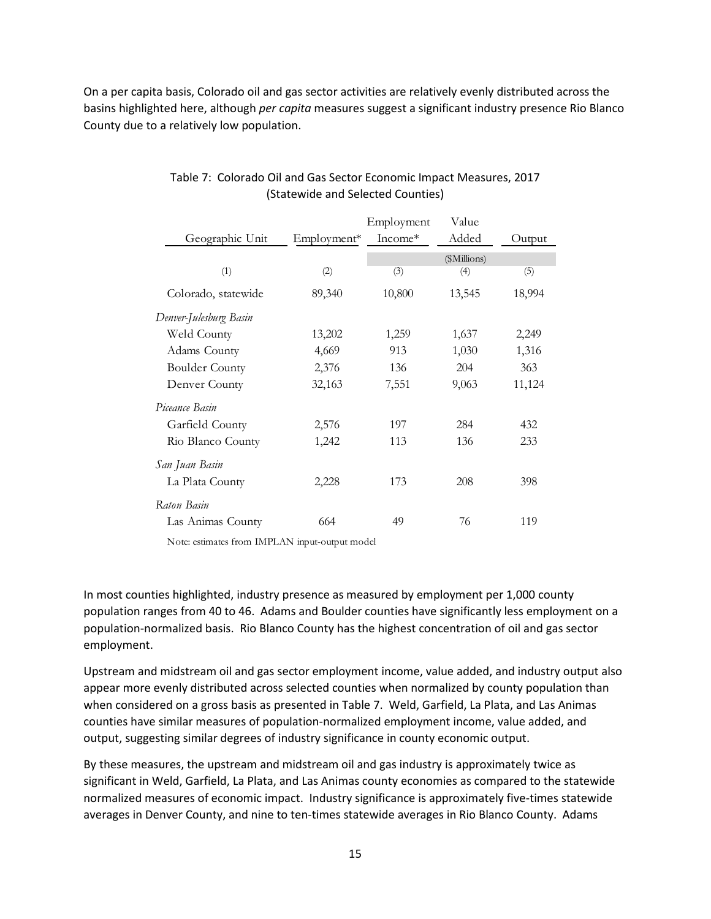On a per capita basis, Colorado oil and gas sector activities are relatively evenly distributed across the basins highlighted here, although *per capita* measures suggest a significant industry presence Rio Blanco County due to a relatively low population.

|                        |             | Employment | Value        |        |
|------------------------|-------------|------------|--------------|--------|
| Geographic Unit        | Employment* | $Income*$  | Added        | Output |
|                        |             |            | (\$Millions) |        |
| (1)                    | (2)         | (3)        | (4)          | (5)    |
| Colorado, statewide    | 89,340      | 10,800     | 13,545       | 18,994 |
| Denver-Julesburg Basin |             |            |              |        |
| Weld County            | 13,202      | 1,259      | 1,637        | 2,249  |
| Adams County           | 4,669       | 913        | 1,030        | 1,316  |
| <b>Boulder County</b>  | 2,376       | 136        | 204          | 363    |
| Denver County          | 32,163      | 7,551      | 9,063        | 11,124 |
| Piceance Basin         |             |            |              |        |
| Garfield County        | 2,576       | 197        | 284          | 432    |
| Rio Blanco County      | 1,242       | 113        | 136          | 233    |
| San Juan Basin         |             |            |              |        |
| La Plata County        | 2,228       | 173        | 208          | 398    |
| Raton Basin            |             |            |              |        |
| Las Animas County      | 664         | 49         | 76           | 119    |

# Table 7: Colorado Oil and Gas Sector Economic Impact Measures, 2017 (Statewide and Selected Counties)

Note: estimates from IMPLAN input-output model

In most counties highlighted, industry presence as measured by employment per 1,000 county population ranges from 40 to 46. Adams and Boulder counties have significantly less employment on a population-normalized basis. Rio Blanco County has the highest concentration of oil and gas sector employment.

Upstream and midstream oil and gas sector employment income, value added, and industry output also appear more evenly distributed across selected counties when normalized by county population than when considered on a gross basis as presented in Table 7. Weld, Garfield, La Plata, and Las Animas counties have similar measures of population-normalized employment income, value added, and output, suggesting similar degrees of industry significance in county economic output.

By these measures, the upstream and midstream oil and gas industry is approximately twice as significant in Weld, Garfield, La Plata, and Las Animas county economies as compared to the statewide normalized measures of economic impact. Industry significance is approximately five-times statewide averages in Denver County, and nine to ten-times statewide averages in Rio Blanco County. Adams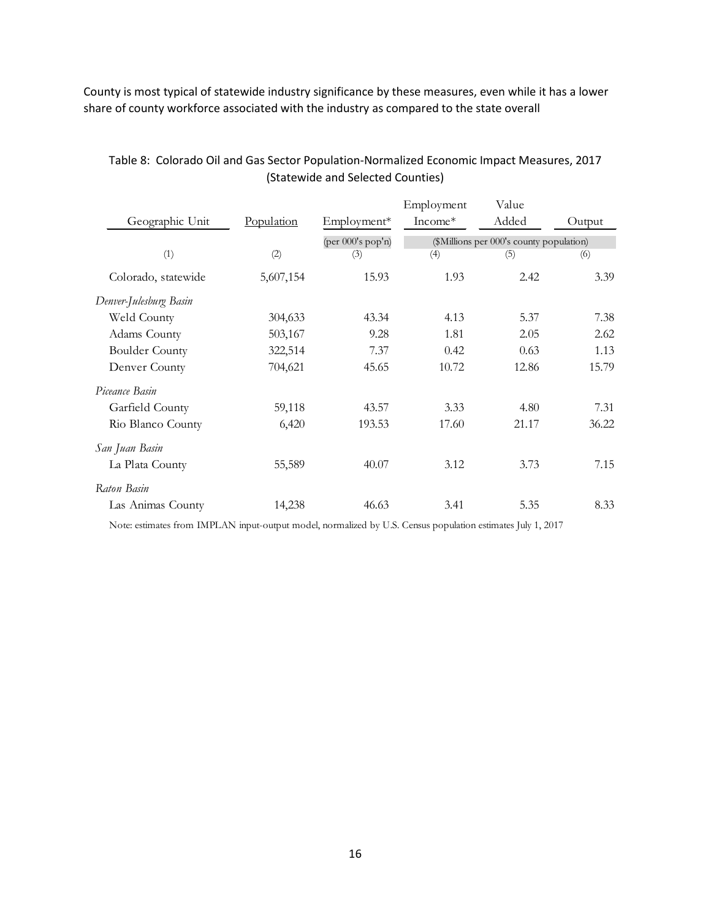County is most typical of statewide industry significance by these measures, even while it has a lower share of county workforce associated with the industry as compared to the state overall

| Geographic Unit        | Population | Employment*                        | Employment<br>Income* | Value<br>Added                           | Output |
|------------------------|------------|------------------------------------|-----------------------|------------------------------------------|--------|
|                        |            | $(\text{per }000's \text{ pop'n})$ |                       | (\$Millions per 000's county population) |        |
| (1)                    | (2)        | (3)                                | (4)                   | (5)                                      | (6)    |
| Colorado, statewide    | 5,607,154  | 15.93                              | 1.93                  | 2.42                                     | 3.39   |
| Denver-Julesburg Basin |            |                                    |                       |                                          |        |
| Weld County            | 304,633    | 43.34                              | 4.13                  | 5.37                                     | 7.38   |
| Adams County           | 503,167    | 9.28                               | 1.81                  | 2.05                                     | 2.62   |
| <b>Boulder County</b>  | 322,514    | 7.37                               | 0.42                  | 0.63                                     | 1.13   |
| Denver County          | 704,621    | 45.65                              | 10.72                 | 12.86                                    | 15.79  |
| Piceance Basin         |            |                                    |                       |                                          |        |
| Garfield County        | 59,118     | 43.57                              | 3.33                  | 4.80                                     | 7.31   |
| Rio Blanco County      | 6,420      | 193.53                             | 17.60                 | 21.17                                    | 36.22  |
| San Juan Basin         |            |                                    |                       |                                          |        |
| La Plata County        | 55,589     | 40.07                              | 3.12                  | 3.73                                     | 7.15   |
| Raton Basin            |            |                                    |                       |                                          |        |
| Las Animas County      | 14,238     | 46.63                              | 3.41                  | 5.35                                     | 8.33   |

# Table 8: Colorado Oil and Gas Sector Population-Normalized Economic Impact Measures, 2017 (Statewide and Selected Counties)

Note: estimates from IMPLAN input-output model, normalized by U.S. Census population estimates July 1, 2017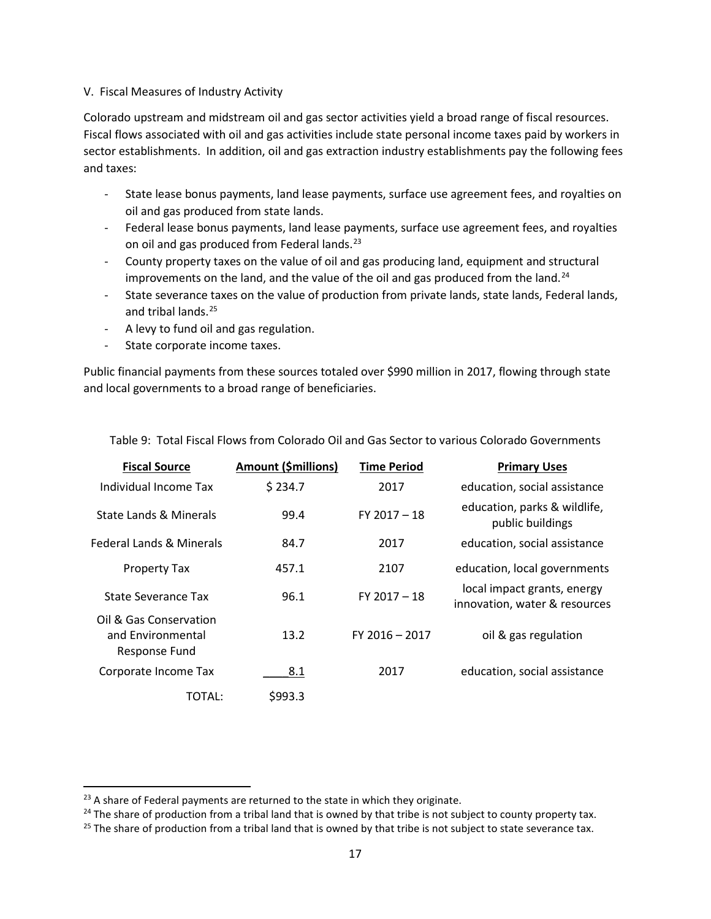## V. Fiscal Measures of Industry Activity

Colorado upstream and midstream oil and gas sector activities yield a broad range of fiscal resources. Fiscal flows associated with oil and gas activities include state personal income taxes paid by workers in sector establishments. In addition, oil and gas extraction industry establishments pay the following fees and taxes:

- State lease bonus payments, land lease payments, surface use agreement fees, and royalties on oil and gas produced from state lands.
- Federal lease bonus payments, land lease payments, surface use agreement fees, and royalties on oil and gas produced from Federal lands.<sup>[23](#page-21-0)</sup>
- County property taxes on the value of oil and gas producing land, equipment and structural improvements on the land, and the value of the oil and gas produced from the land.<sup>[24](#page-21-1)</sup>
- State severance taxes on the value of production from private lands, state lands, Federal lands, and tribal lands. [25](#page-21-2)
- A levy to fund oil and gas regulation.
- State corporate income taxes.

Public financial payments from these sources totaled over \$990 million in 2017, flowing through state and local governments to a broad range of beneficiaries.

| <b>Fiscal Source</b>                                         | <b>Amount (\$millions)</b> | <b>Time Period</b> | <b>Primary Uses</b>                                          |
|--------------------------------------------------------------|----------------------------|--------------------|--------------------------------------------------------------|
| Individual Income Tax                                        | \$234.7                    | 2017               | education, social assistance                                 |
| State Lands & Minerals                                       | 99.4                       | $FY$ 2017 $-$ 18   | education, parks & wildlife,<br>public buildings             |
| Federal Lands & Minerals                                     | 84.7                       | 2017               | education, social assistance                                 |
| Property Tax                                                 | 457.1                      | 2107               | education, local governments                                 |
| State Severance Tax                                          | 96.1                       | $FY$ 2017 $-18$    | local impact grants, energy<br>innovation, water & resources |
| Oil & Gas Conservation<br>and Environmental<br>Response Fund | 13.2                       | $FY$ 2016 - 2017   | oil & gas regulation                                         |
| Corporate Income Tax                                         | 8.1                        | 2017               | education, social assistance                                 |
| TOTAL:                                                       | \$993.3                    |                    |                                                              |

Table 9: Total Fiscal Flows from Colorado Oil and Gas Sector to various Colorado Governments

<span id="page-21-0"></span> $23$  A share of Federal payments are returned to the state in which they originate.

<span id="page-21-1"></span> $24$  The share of production from a tribal land that is owned by that tribe is not subject to county property tax.

<span id="page-21-2"></span> $25$  The share of production from a tribal land that is owned by that tribe is not subject to state severance tax.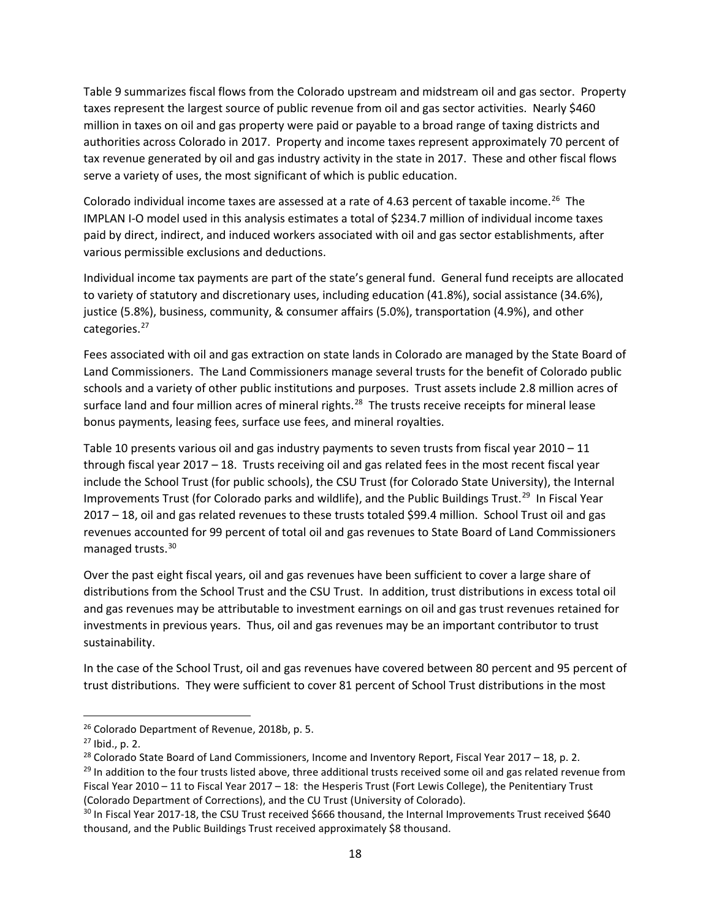Table 9 summarizes fiscal flows from the Colorado upstream and midstream oil and gas sector. Property taxes represent the largest source of public revenue from oil and gas sector activities. Nearly \$460 million in taxes on oil and gas property were paid or payable to a broad range of taxing districts and authorities across Colorado in 2017. Property and income taxes represent approximately 70 percent of tax revenue generated by oil and gas industry activity in the state in 2017. These and other fiscal flows serve a variety of uses, the most significant of which is public education.

Colorado individual income taxes are assessed at a rate of 4.63 percent of taxable income.<sup>[26](#page-22-0)</sup> The IMPLAN I-O model used in this analysis estimates a total of \$234.7 million of individual income taxes paid by direct, indirect, and induced workers associated with oil and gas sector establishments, after various permissible exclusions and deductions.

Individual income tax payments are part of the state's general fund. General fund receipts are allocated to variety of statutory and discretionary uses, including education (41.8%), social assistance (34.6%), justice (5.8%), business, community, & consumer affairs (5.0%), transportation (4.9%), and other categories.<sup>27</sup>

Fees associated with oil and gas extraction on state lands in Colorado are managed by the State Board of Land Commissioners. The Land Commissioners manage several trusts for the benefit of Colorado public schools and a variety of other public institutions and purposes. Trust assets include 2.8 million acres of surface land and four million acres of mineral rights.<sup>[28](#page-22-2)</sup> The trusts receive receipts for mineral lease bonus payments, leasing fees, surface use fees, and mineral royalties.

Table 10 presents various oil and gas industry payments to seven trusts from fiscal year 2010 – 11 through fiscal year 2017 – 18. Trusts receiving oil and gas related fees in the most recent fiscal year include the School Trust (for public schools), the CSU Trust (for Colorado State University), the Internal Improvements Trust (for Colorado parks and wildlife), and the Public Buildings Trust.<sup>29</sup> In Fiscal Year 2017 – 18, oil and gas related revenues to these trusts totaled \$99.4 million. School Trust oil and gas revenues accounted for 99 percent of total oil and gas revenues to State Board of Land Commissioners managed trusts.[30](#page-22-4)

Over the past eight fiscal years, oil and gas revenues have been sufficient to cover a large share of distributions from the School Trust and the CSU Trust. In addition, trust distributions in excess total oil and gas revenues may be attributable to investment earnings on oil and gas trust revenues retained for investments in previous years. Thus, oil and gas revenues may be an important contributor to trust sustainability.

In the case of the School Trust, oil and gas revenues have covered between 80 percent and 95 percent of trust distributions. They were sufficient to cover 81 percent of School Trust distributions in the most

<span id="page-22-0"></span> <sup>26</sup> Colorado Department of Revenue, 2018b, p. 5.

<span id="page-22-1"></span> $27$  Ibid., p. 2.

<span id="page-22-2"></span><sup>&</sup>lt;sup>28</sup> Colorado State Board of Land Commissioners, Income and Inventory Report, Fiscal Year 2017 – 18, p. 2.

<span id="page-22-3"></span> $29$  In addition to the four trusts listed above, three additional trusts received some oil and gas related revenue from Fiscal Year 2010 – 11 to Fiscal Year 2017 – 18: the Hesperis Trust (Fort Lewis College), the Penitentiary Trust (Colorado Department of Corrections), and the CU Trust (University of Colorado).

<span id="page-22-4"></span><sup>&</sup>lt;sup>30</sup> In Fiscal Year 2017-18, the CSU Trust received \$666 thousand, the Internal Improvements Trust received \$640 thousand, and the Public Buildings Trust received approximately \$8 thousand.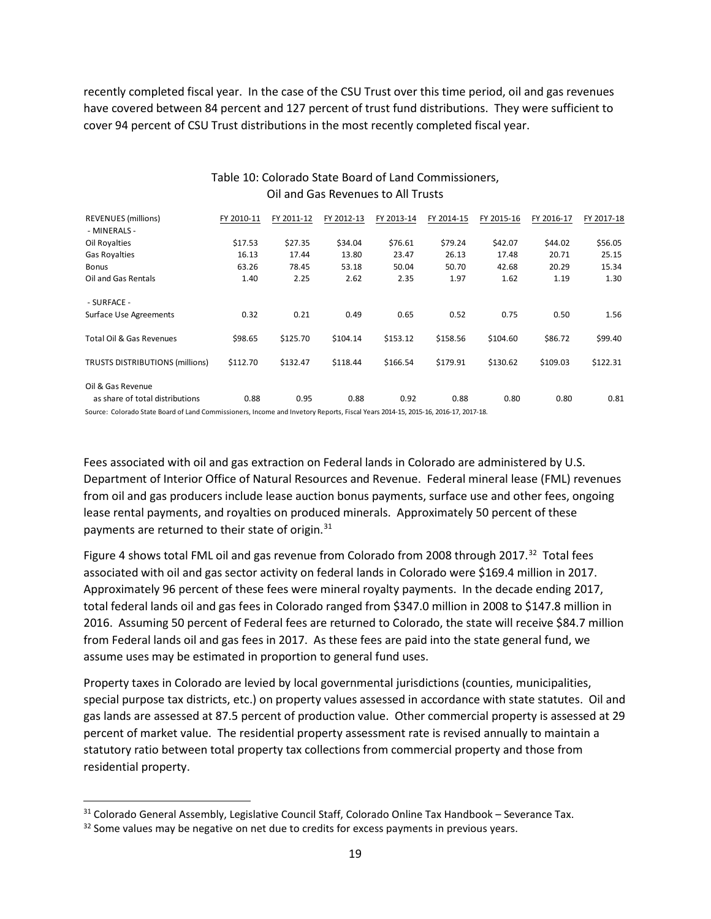recently completed fiscal year. In the case of the CSU Trust over this time period, oil and gas revenues have covered between 84 percent and 127 percent of trust fund distributions. They were sufficient to cover 94 percent of CSU Trust distributions in the most recently completed fiscal year.

| <b>REVENUES</b> (millions)<br>- MINERALS -           | FY 2010-11 | FY 2011-12 | FY 2012-13 | FY 2013-14 | FY 2014-15 | FY 2015-16 | FY 2016-17 | FY 2017-18 |
|------------------------------------------------------|------------|------------|------------|------------|------------|------------|------------|------------|
| Oil Royalties                                        | \$17.53    | \$27.35    | \$34.04    | \$76.61    | \$79.24    | \$42.07    | \$44.02    | \$56.05    |
| Gas Royalties                                        | 16.13      | 17.44      | 13.80      | 23.47      | 26.13      | 17.48      | 20.71      | 25.15      |
| <b>Bonus</b>                                         | 63.26      | 78.45      | 53.18      | 50.04      | 50.70      | 42.68      | 20.29      | 15.34      |
| Oil and Gas Rentals                                  | 1.40       | 2.25       | 2.62       | 2.35       | 1.97       | 1.62       | 1.19       | 1.30       |
| - SURFACE -                                          |            |            |            |            |            |            |            |            |
| <b>Surface Use Agreements</b>                        | 0.32       | 0.21       | 0.49       | 0.65       | 0.52       | 0.75       | 0.50       | 1.56       |
| Total Oil & Gas Revenues                             | \$98.65    | \$125.70   | \$104.14   | \$153.12   | \$158.56   | \$104.60   | \$86.72    | \$99.40    |
| <b>TRUSTS DISTRIBUTIONS (millions)</b>               | \$112.70   | \$132.47   | \$118.44   | \$166.54   | \$179.91   | \$130.62   | \$109.03   | \$122.31   |
| Oil & Gas Revenue<br>as share of total distributions | 0.88       | 0.95       | 0.88       | 0.92       | 0.88       | 0.80       | 0.80       | 0.81       |

## Table 10: Colorado State Board of Land Commissioners, Oil and Gas Revenues to All Trusts

Source: Colorado State Board of Land Commissioners, Income and Invetory Reports, Fiscal Years 2014-15, 2015-16, 2016-17, 2017-18.

Fees associated with oil and gas extraction on Federal lands in Colorado are administered by U.S. Department of Interior Office of Natural Resources and Revenue. Federal mineral lease (FML) revenues from oil and gas producers include lease auction bonus payments, surface use and other fees, ongoing lease rental payments, and royalties on produced minerals. Approximately 50 percent of these payments are returned to their state of origin.<sup>[31](#page-23-0)</sup>

Figure 4 shows total FML oil and gas revenue from Colorado from 2008 through 2017.<sup>[32](#page-23-1)</sup> Total fees associated with oil and gas sector activity on federal lands in Colorado were \$169.4 million in 2017. Approximately 96 percent of these fees were mineral royalty payments. In the decade ending 2017, total federal lands oil and gas fees in Colorado ranged from \$347.0 million in 2008 to \$147.8 million in 2016. Assuming 50 percent of Federal fees are returned to Colorado, the state will receive \$84.7 million from Federal lands oil and gas fees in 2017. As these fees are paid into the state general fund, we assume uses may be estimated in proportion to general fund uses.

Property taxes in Colorado are levied by local governmental jurisdictions (counties, municipalities, special purpose tax districts, etc.) on property values assessed in accordance with state statutes. Oil and gas lands are assessed at 87.5 percent of production value. Other commercial property is assessed at 29 percent of market value. The residential property assessment rate is revised annually to maintain a statutory ratio between total property tax collections from commercial property and those from residential property.

<span id="page-23-0"></span> <sup>31</sup> Colorado General Assembly, Legislative Council Staff, Colorado Online Tax Handbook – Severance Tax.

<span id="page-23-1"></span> $32$  Some values may be negative on net due to credits for excess payments in previous years.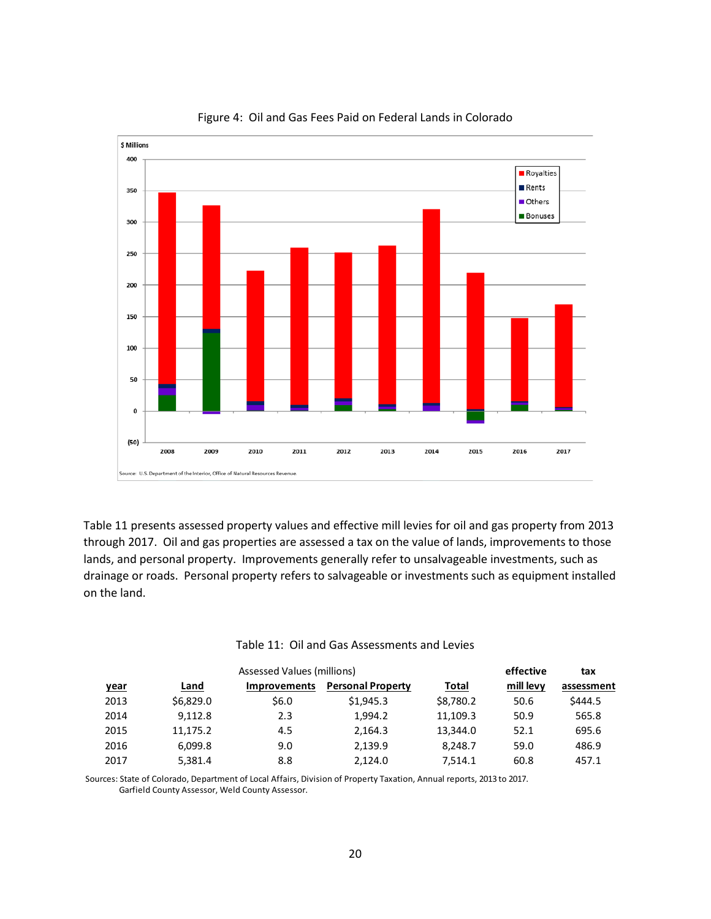

#### Figure 4: Oil and Gas Fees Paid on Federal Lands in Colorado

Table 11 presents assessed property values and effective mill levies for oil and gas property from 2013 through 2017. Oil and gas properties are assessed a tax on the value of lands, improvements to those lands, and personal property. Improvements generally refer to unsalvageable investments, such as drainage or roads. Personal property refers to salvageable or investments such as equipment installed on the land.

|             |           |                     | effective                | tax       |           |            |
|-------------|-----------|---------------------|--------------------------|-----------|-----------|------------|
| <u>year</u> | Land      | <b>Improvements</b> | <b>Personal Property</b> | Total     | mill levy | assessment |
| 2013        | \$6,829.0 | \$6.0               | \$1.945.3                | \$8,780.2 | 50.6      | \$444.5    |
| 2014        | 9.112.8   | 2.3                 | 1.994.2                  | 11,109.3  | 50.9      | 565.8      |
| 2015        | 11,175.2  | 4.5                 | 2.164.3                  | 13,344.0  | 52.1      | 695.6      |
| 2016        | 6.099.8   | 9.0                 | 2.139.9                  | 8.248.7   | 59.0      | 486.9      |
| 2017        | 5.381.4   | 8.8                 | 2.124.0                  | 7.514.1   | 60.8      | 457.1      |

#### Table 11: Oil and Gas Assessments and Levies

Sources: State of Colorado, Department of Local Affairs, Division of Property Taxation, Annual reports, 2013 to 2017. Garfield County Assessor, Weld County Assessor.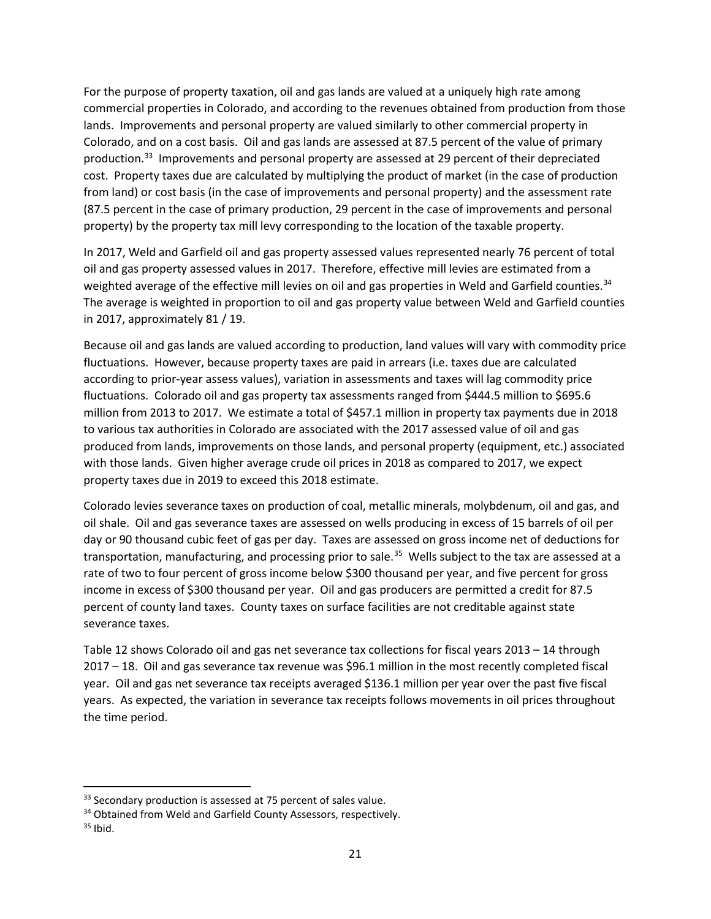For the purpose of property taxation, oil and gas lands are valued at a uniquely high rate among commercial properties in Colorado, and according to the revenues obtained from production from those lands. Improvements and personal property are valued similarly to other commercial property in Colorado, and on a cost basis. Oil and gas lands are assessed at 87.5 percent of the value of primary production.[33](#page-25-0) Improvements and personal property are assessed at 29 percent of their depreciated cost. Property taxes due are calculated by multiplying the product of market (in the case of production from land) or cost basis (in the case of improvements and personal property) and the assessment rate (87.5 percent in the case of primary production, 29 percent in the case of improvements and personal property) by the property tax mill levy corresponding to the location of the taxable property.

In 2017, Weld and Garfield oil and gas property assessed values represented nearly 76 percent of total oil and gas property assessed values in 2017. Therefore, effective mill levies are estimated from a weighted average of the effective mill levies on oil and gas properties in Weld and Garfield counties.<sup>34</sup> The average is weighted in proportion to oil and gas property value between Weld and Garfield counties in 2017, approximately 81 / 19.

Because oil and gas lands are valued according to production, land values will vary with commodity price fluctuations. However, because property taxes are paid in arrears (i.e. taxes due are calculated according to prior-year assess values), variation in assessments and taxes will lag commodity price fluctuations. Colorado oil and gas property tax assessments ranged from \$444.5 million to \$695.6 million from 2013 to 2017. We estimate a total of \$457.1 million in property tax payments due in 2018 to various tax authorities in Colorado are associated with the 2017 assessed value of oil and gas produced from lands, improvements on those lands, and personal property (equipment, etc.) associated with those lands. Given higher average crude oil prices in 2018 as compared to 2017, we expect property taxes due in 2019 to exceed this 2018 estimate.

Colorado levies severance taxes on production of coal, metallic minerals, molybdenum, oil and gas, and oil shale. Oil and gas severance taxes are assessed on wells producing in excess of 15 barrels of oil per day or 90 thousand cubic feet of gas per day. Taxes are assessed on gross income net of deductions for transportation, manufacturing, and processing prior to sale.<sup>35</sup> Wells subject to the tax are assessed at a rate of two to four percent of gross income below \$300 thousand per year, and five percent for gross income in excess of \$300 thousand per year. Oil and gas producers are permitted a credit for 87.5 percent of county land taxes. County taxes on surface facilities are not creditable against state severance taxes.

Table 12 shows Colorado oil and gas net severance tax collections for fiscal years 2013 – 14 through 2017 – 18. Oil and gas severance tax revenue was \$96.1 million in the most recently completed fiscal year. Oil and gas net severance tax receipts averaged \$136.1 million per year over the past five fiscal years. As expected, the variation in severance tax receipts follows movements in oil prices throughout the time period.

<span id="page-25-0"></span><sup>&</sup>lt;sup>33</sup> Secondary production is assessed at 75 percent of sales value.

<span id="page-25-1"></span><sup>&</sup>lt;sup>34</sup> Obtained from Weld and Garfield County Assessors, respectively.

<span id="page-25-2"></span> $35$  Ibid.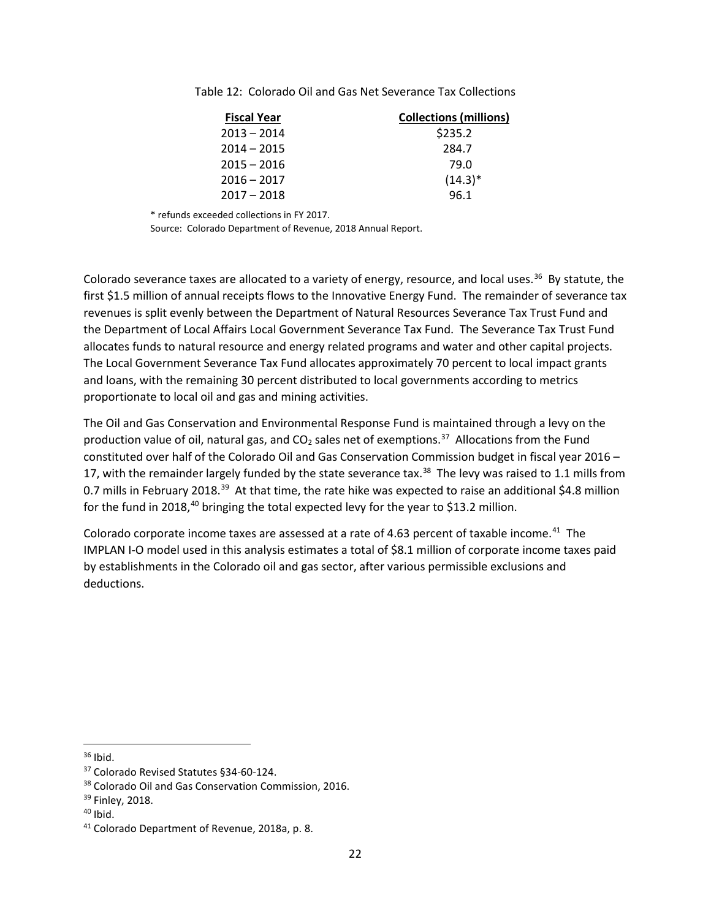| <b>Fiscal Year</b> | <b>Collections (millions)</b> |
|--------------------|-------------------------------|
| $2013 - 2014$      | \$235.2                       |
| $2014 - 2015$      | 284.7                         |
| $2015 - 2016$      | 79.0                          |
| $2016 - 2017$      | $(14.3)^*$                    |
| $2017 - 2018$      | 96.1                          |

Table 12: Colorado Oil and Gas Net Severance Tax Collections

\* refunds exceeded collections in FY 2017.

Source: Colorado Department of Revenue, 2018 Annual Report.

Colorado severance taxes are allocated to a variety of energy, resource, and local uses.<sup>[36](#page-26-0)</sup> By statute, the first \$1.5 million of annual receipts flows to the Innovative Energy Fund. The remainder of severance tax revenues is split evenly between the Department of Natural Resources Severance Tax Trust Fund and the Department of Local Affairs Local Government Severance Tax Fund. The Severance Tax Trust Fund allocates funds to natural resource and energy related programs and water and other capital projects. The Local Government Severance Tax Fund allocates approximately 70 percent to local impact grants and loans, with the remaining 30 percent distributed to local governments according to metrics proportionate to local oil and gas and mining activities.

The Oil and Gas Conservation and Environmental Response Fund is maintained through a levy on the production value of oil, natural gas, and  $CO<sub>2</sub>$  sales net of exemptions.<sup>[37](#page-26-1)</sup> Allocations from the Fund constituted over half of the Colorado Oil and Gas Conservation Commission budget in fiscal year 2016 – 17, with the remainder largely funded by the state severance tax.<sup>[38](#page-26-2)</sup> The levy was raised to 1.1 mills from 0.7 mills in February 2018.<sup>39</sup> At that time, the rate hike was expected to raise an additional \$4.8 million for the fund in 2018,<sup>40</sup> bringing the total expected levy for the year to \$13.2 million.

Colorado corporate income taxes are assessed at a rate of 4.63 percent of taxable income.<sup>41</sup> The IMPLAN I-O model used in this analysis estimates a total of \$8.1 million of corporate income taxes paid by establishments in the Colorado oil and gas sector, after various permissible exclusions and deductions.

<span id="page-26-0"></span> $36$  Ibid.

<span id="page-26-1"></span><sup>37</sup> Colorado Revised Statutes §34-60-124.

<span id="page-26-2"></span><sup>&</sup>lt;sup>38</sup> Colorado Oil and Gas Conservation Commission, 2016.

<span id="page-26-3"></span><sup>&</sup>lt;sup>39</sup> Finley, 2018.

<span id="page-26-4"></span> $40$  Ibid.

<span id="page-26-5"></span><sup>41</sup> Colorado Department of Revenue, 2018a, p. 8.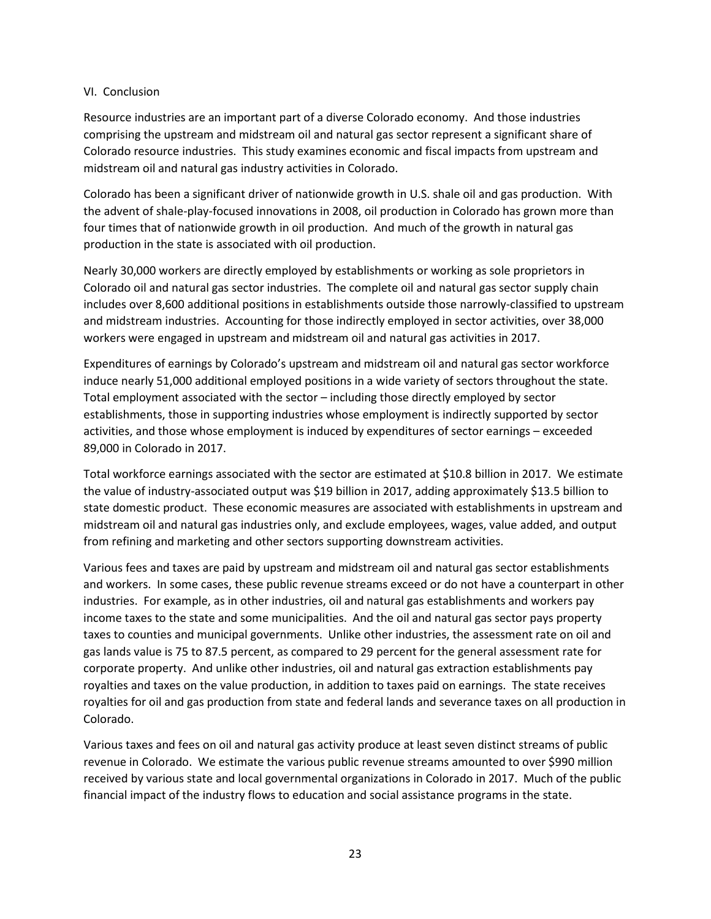### VI. Conclusion

Resource industries are an important part of a diverse Colorado economy. And those industries comprising the upstream and midstream oil and natural gas sector represent a significant share of Colorado resource industries. This study examines economic and fiscal impacts from upstream and midstream oil and natural gas industry activities in Colorado.

Colorado has been a significant driver of nationwide growth in U.S. shale oil and gas production. With the advent of shale-play-focused innovations in 2008, oil production in Colorado has grown more than four times that of nationwide growth in oil production. And much of the growth in natural gas production in the state is associated with oil production.

Nearly 30,000 workers are directly employed by establishments or working as sole proprietors in Colorado oil and natural gas sector industries. The complete oil and natural gas sector supply chain includes over 8,600 additional positions in establishments outside those narrowly-classified to upstream and midstream industries. Accounting for those indirectly employed in sector activities, over 38,000 workers were engaged in upstream and midstream oil and natural gas activities in 2017.

Expenditures of earnings by Colorado's upstream and midstream oil and natural gas sector workforce induce nearly 51,000 additional employed positions in a wide variety of sectors throughout the state. Total employment associated with the sector – including those directly employed by sector establishments, those in supporting industries whose employment is indirectly supported by sector activities, and those whose employment is induced by expenditures of sector earnings – exceeded 89,000 in Colorado in 2017.

Total workforce earnings associated with the sector are estimated at \$10.8 billion in 2017. We estimate the value of industry-associated output was \$19 billion in 2017, adding approximately \$13.5 billion to state domestic product. These economic measures are associated with establishments in upstream and midstream oil and natural gas industries only, and exclude employees, wages, value added, and output from refining and marketing and other sectors supporting downstream activities.

Various fees and taxes are paid by upstream and midstream oil and natural gas sector establishments and workers. In some cases, these public revenue streams exceed or do not have a counterpart in other industries. For example, as in other industries, oil and natural gas establishments and workers pay income taxes to the state and some municipalities. And the oil and natural gas sector pays property taxes to counties and municipal governments. Unlike other industries, the assessment rate on oil and gas lands value is 75 to 87.5 percent, as compared to 29 percent for the general assessment rate for corporate property. And unlike other industries, oil and natural gas extraction establishments pay royalties and taxes on the value production, in addition to taxes paid on earnings. The state receives royalties for oil and gas production from state and federal lands and severance taxes on all production in Colorado.

Various taxes and fees on oil and natural gas activity produce at least seven distinct streams of public revenue in Colorado. We estimate the various public revenue streams amounted to over \$990 million received by various state and local governmental organizations in Colorado in 2017. Much of the public financial impact of the industry flows to education and social assistance programs in the state.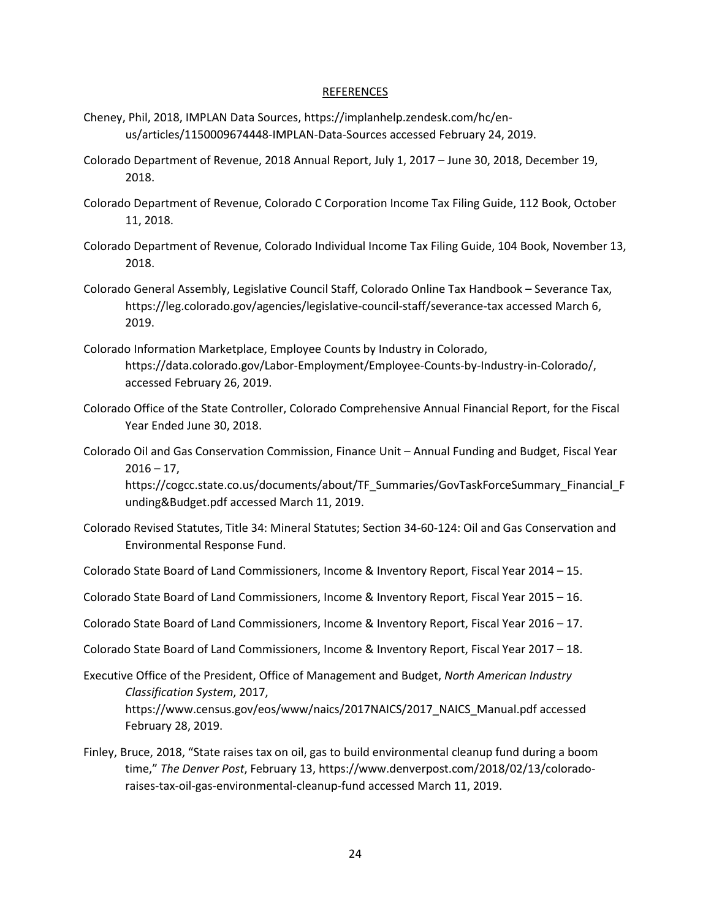#### REFERENCES

- Cheney, Phil, 2018, IMPLAN Data Sources, https://implanhelp.zendesk.com/hc/enus/articles/1150009674448-IMPLAN-Data-Sources accessed February 24, 2019.
- Colorado Department of Revenue, 2018 Annual Report, July 1, 2017 June 30, 2018, December 19, 2018.
- Colorado Department of Revenue, Colorado C Corporation Income Tax Filing Guide, 112 Book, October 11, 2018.
- Colorado Department of Revenue, Colorado Individual Income Tax Filing Guide, 104 Book, November 13, 2018.
- Colorado General Assembly, Legislative Council Staff, Colorado Online Tax Handbook Severance Tax, https://leg.colorado.gov/agencies/legislative-council-staff/severance-tax accessed March 6, 2019.
- Colorado Information Marketplace, Employee Counts by Industry in Colorado, https://data.colorado.gov/Labor-Employment/Employee-Counts-by-Industry-in-Colorado/, accessed February 26, 2019.
- Colorado Office of the State Controller, Colorado Comprehensive Annual Financial Report, for the Fiscal Year Ended June 30, 2018.
- Colorado Oil and Gas Conservation Commission, Finance Unit Annual Funding and Budget, Fiscal Year  $2016 - 17$ ,

https://cogcc.state.co.us/documents/about/TF\_Summaries/GovTaskForceSummary\_Financial\_F unding&Budget.pdf accessed March 11, 2019.

- Colorado Revised Statutes, Title 34: Mineral Statutes; Section 34-60-124: Oil and Gas Conservation and Environmental Response Fund.
- Colorado State Board of Land Commissioners, Income & Inventory Report, Fiscal Year 2014 15.
- Colorado State Board of Land Commissioners, Income & Inventory Report, Fiscal Year 2015 16.
- Colorado State Board of Land Commissioners, Income & Inventory Report, Fiscal Year 2016 17.
- Colorado State Board of Land Commissioners, Income & Inventory Report, Fiscal Year 2017 18.
- Executive Office of the President, Office of Management and Budget, *North American Industry Classification System*, 2017, https://www.census.gov/eos/www/naics/2017NAICS/2017\_NAICS\_Manual.pdf accessed February 28, 2019.
- Finley, Bruce, 2018, "State raises tax on oil, gas to build environmental cleanup fund during a boom time," *The Denver Post*, February 13, https://www.denverpost.com/2018/02/13/coloradoraises-tax-oil-gas-environmental-cleanup-fund accessed March 11, 2019.